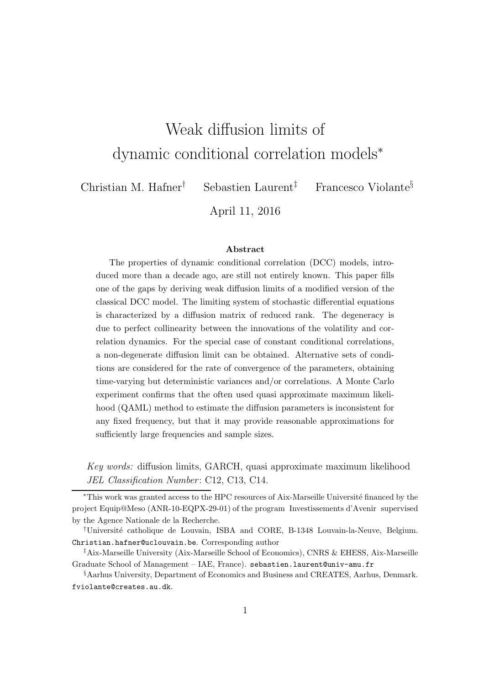# Weak diffusion limits of dynamic conditional correlation models<sup>∗</sup>

Christian M. Hafner† Sebastien Laurent‡ Francesco Violante§

April 11, 2016

#### Abstract

The properties of dynamic conditional correlation (DCC) models, introduced more than a decade ago, are still not entirely known. This paper fills one of the gaps by deriving weak diffusion limits of a modified version of the classical DCC model. The limiting system of stochastic differential equations is characterized by a diffusion matrix of reduced rank. The degeneracy is due to perfect collinearity between the innovations of the volatility and correlation dynamics. For the special case of constant conditional correlations, a non-degenerate diffusion limit can be obtained. Alternative sets of conditions are considered for the rate of convergence of the parameters, obtaining time-varying but deterministic variances and/or correlations. A Monte Carlo experiment confirms that the often used quasi approximate maximum likelihood (QAML) method to estimate the diffusion parameters is inconsistent for any fixed frequency, but that it may provide reasonable approximations for sufficiently large frequencies and sample sizes.

Key words: diffusion limits, GARCH, quasi approximate maximum likelihood JEL Classification Number: C12, C13, C14.

<sup>\*</sup>This work was granted access to the HPC resources of Aix-Marseille Université financed by the project Equip@Meso (ANR-10-EQPX-29-01) of the program Investissements d'Avenir supervised by the Agence Nationale de la Recherche.

<sup>&</sup>lt;sup>†</sup>Université catholique de Louvain, ISBA and CORE, B-1348 Louvain-la-Neuve, Belgium. Christian.hafner@uclouvain.be. Corresponding author

<sup>‡</sup>Aix-Marseille University (Aix-Marseille School of Economics), CNRS & EHESS, Aix-Marseille Graduate School of Management – IAE, France). sebastien.laurent@univ-amu.fr

<sup>§</sup>Aarhus University, Department of Economics and Business and CREATES, Aarhus, Denmark. fviolante@creates.au.dk.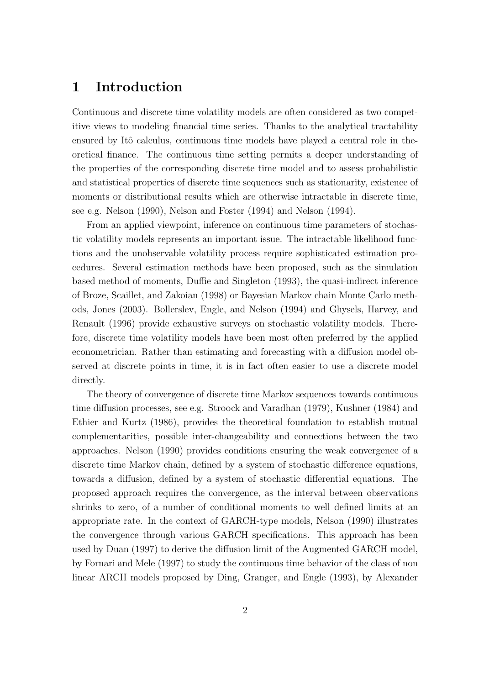### 1 Introduction

Continuous and discrete time volatility models are often considered as two competitive views to modeling financial time series. Thanks to the analytical tractability ensured by Itô calculus, continuous time models have played a central role in theoretical finance. The continuous time setting permits a deeper understanding of the properties of the corresponding discrete time model and to assess probabilistic and statistical properties of discrete time sequences such as stationarity, existence of moments or distributional results which are otherwise intractable in discrete time, see e.g. Nelson (1990), Nelson and Foster (1994) and Nelson (1994).

From an applied viewpoint, inference on continuous time parameters of stochastic volatility models represents an important issue. The intractable likelihood functions and the unobservable volatility process require sophisticated estimation procedures. Several estimation methods have been proposed, such as the simulation based method of moments, Duffie and Singleton (1993), the quasi-indirect inference of Broze, Scaillet, and Zakoian (1998) or Bayesian Markov chain Monte Carlo methods, Jones (2003). Bollerslev, Engle, and Nelson (1994) and Ghysels, Harvey, and Renault (1996) provide exhaustive surveys on stochastic volatility models. Therefore, discrete time volatility models have been most often preferred by the applied econometrician. Rather than estimating and forecasting with a diffusion model observed at discrete points in time, it is in fact often easier to use a discrete model directly.

The theory of convergence of discrete time Markov sequences towards continuous time diffusion processes, see e.g. Stroock and Varadhan (1979), Kushner (1984) and Ethier and Kurtz (1986), provides the theoretical foundation to establish mutual complementarities, possible inter-changeability and connections between the two approaches. Nelson (1990) provides conditions ensuring the weak convergence of a discrete time Markov chain, defined by a system of stochastic difference equations, towards a diffusion, defined by a system of stochastic differential equations. The proposed approach requires the convergence, as the interval between observations shrinks to zero, of a number of conditional moments to well defined limits at an appropriate rate. In the context of GARCH-type models, Nelson (1990) illustrates the convergence through various GARCH specifications. This approach has been used by Duan (1997) to derive the diffusion limit of the Augmented GARCH model, by Fornari and Mele (1997) to study the continuous time behavior of the class of non linear ARCH models proposed by Ding, Granger, and Engle (1993), by Alexander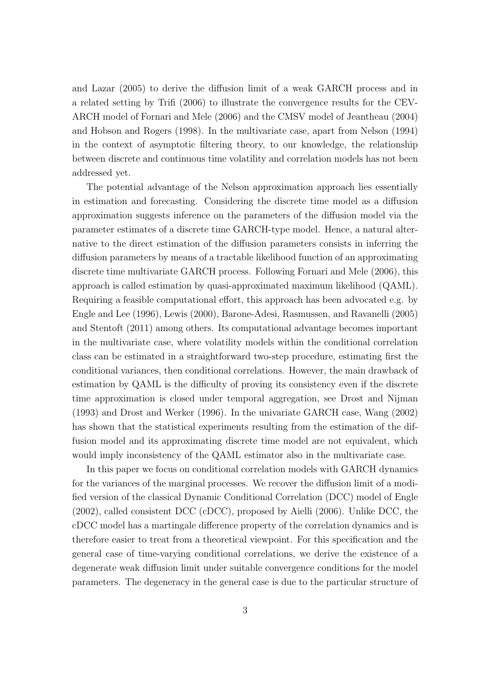and Lazar (2005) to derive the diffusion limit of a weak GARCH process and in a related setting by Trifi (2006) to illustrate the convergence results for the CEV-ARCH model of Fornari and Mele (2006) and the CMSV model of Jeantheau (2004) and Hobson and Rogers (1998). In the multivariate case, apart from Nelson (1994) in the context of asymptotic filtering theory, to our knowledge, the relationship between discrete and continuous time volatility and correlation models has not been addressed yet.

The potential advantage of the Nelson approximation approach lies essentially in estimation and forecasting. Considering the discrete time model as a diffusion approximation suggests inference on the parameters of the diffusion model via the parameter estimates of a discrete time GARCH-type model. Hence, a natural alternative to the direct estimation of the diffusion parameters consists in inferring the diffusion parameters by means of a tractable likelihood function of an approximating discrete time multivariate GARCH process. Following Fornari and Mele (2006), this approach is called estimation by quasi-approximated maximum likelihood (QAML). Requiring a feasible computational effort, this approach has been advocated e.g. by Engle and Lee (1996), Lewis (2000), Barone-Adesi, Rasmussen, and Ravanelli (2005) and Stentoft (2011) among others. Its computational advantage becomes important in the multivariate case, where volatility models within the conditional correlation class can be estimated in a straightforward two-step procedure, estimating first the conditional variances, then conditional correlations. However, the main drawback of estimation by QAML is the difficulty of proving its consistency even if the discrete time approximation is closed under temporal aggregation, see Drost and Nijman (1993) and Drost and Werker (1996). In the univariate GARCH case, Wang (2002) has shown that the statistical experiments resulting from the estimation of the diffusion model and its approximating discrete time model are not equivalent, which would imply inconsistency of the QAML estimator also in the multivariate case.

In this paper we focus on conditional correlation models with GARCH dynamics for the variances of the marginal processes. We recover the diffusion limit of a modified version of the classical Dynamic Conditional Correlation (DCC) model of Engle (2002), called consistent DCC (cDCC), proposed by Aielli (2006). Unlike DCC, the cDCC model has a martingale difference property of the correlation dynamics and is therefore easier to treat from a theoretical viewpoint. For this specification and the general case of time-varying conditional correlations, we derive the existence of a degenerate weak diffusion limit under suitable convergence conditions for the model parameters. The degeneracy in the general case is due to the particular structure of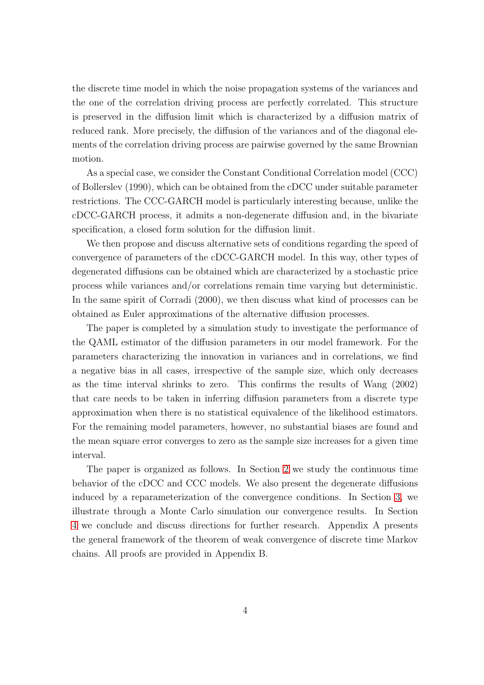the discrete time model in which the noise propagation systems of the variances and the one of the correlation driving process are perfectly correlated. This structure is preserved in the diffusion limit which is characterized by a diffusion matrix of reduced rank. More precisely, the diffusion of the variances and of the diagonal elements of the correlation driving process are pairwise governed by the same Brownian motion.

As a special case, we consider the Constant Conditional Correlation model (CCC) of Bollerslev (1990), which can be obtained from the cDCC under suitable parameter restrictions. The CCC-GARCH model is particularly interesting because, unlike the cDCC-GARCH process, it admits a non-degenerate diffusion and, in the bivariate specification, a closed form solution for the diffusion limit.

We then propose and discuss alternative sets of conditions regarding the speed of convergence of parameters of the cDCC-GARCH model. In this way, other types of degenerated diffusions can be obtained which are characterized by a stochastic price process while variances and/or correlations remain time varying but deterministic. In the same spirit of Corradi (2000), we then discuss what kind of processes can be obtained as Euler approximations of the alternative diffusion processes.

The paper is completed by a simulation study to investigate the performance of the QAML estimator of the diffusion parameters in our model framework. For the parameters characterizing the innovation in variances and in correlations, we find a negative bias in all cases, irrespective of the sample size, which only decreases as the time interval shrinks to zero. This confirms the results of Wang (2002) that care needs to be taken in inferring diffusion parameters from a discrete type approximation when there is no statistical equivalence of the likelihood estimators. For the remaining model parameters, however, no substantial biases are found and the mean square error converges to zero as the sample size increases for a given time interval.

The paper is organized as follows. In Section [2](#page-4-0) we study the continuous time behavior of the cDCC and CCC models. We also present the degenerate diffusions induced by a reparameterization of the convergence conditions. In Section [3,](#page-13-0) we illustrate through a Monte Carlo simulation our convergence results. In Section [4](#page-16-0) we conclude and discuss directions for further research. Appendix A presents the general framework of the theorem of weak convergence of discrete time Markov chains. All proofs are provided in Appendix B.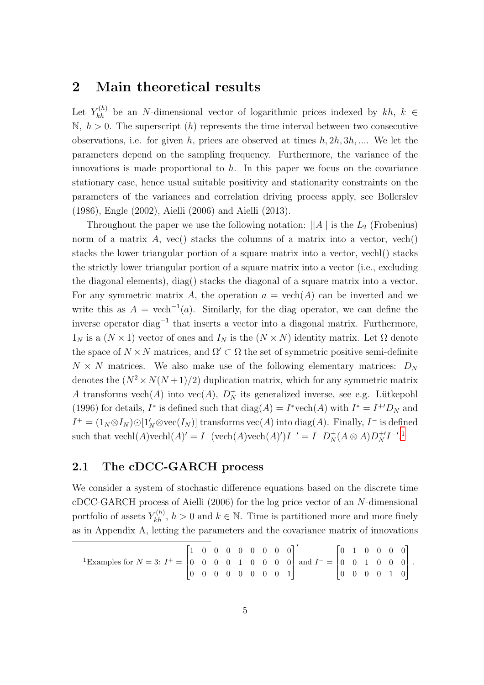## <span id="page-4-0"></span>2 Main theoretical results

Let  $Y_{kh}^{(h)}$  be an N-dimensional vector of logarithmic prices indexed by kh,  $k \in$  $\mathbb{N}, h > 0$ . The superscript  $(h)$  represents the time interval between two consecutive observations, i.e. for given h, prices are observed at times  $h, 2h, 3h, ...$  We let the parameters depend on the sampling frequency. Furthermore, the variance of the innovations is made proportional to  $h$ . In this paper we focus on the covariance stationary case, hence usual suitable positivity and stationarity constraints on the parameters of the variances and correlation driving process apply, see Bollerslev (1986), Engle (2002), Aielli (2006) and Aielli (2013).

Throughout the paper we use the following notation:  $||A||$  is the  $L_2$  (Frobenius) norm of a matrix  $A$ , vec() stacks the columns of a matrix into a vector, vech() stacks the lower triangular portion of a square matrix into a vector, vechl() stacks the strictly lower triangular portion of a square matrix into a vector (i.e., excluding the diagonal elements), diag() stacks the diagonal of a square matrix into a vector. For any symmetric matrix A, the operation  $a = \text{vech}(A)$  can be inverted and we write this as  $A = \text{vech}^{-1}(a)$ . Similarly, for the diag operator, we can define the inverse operator diag<sup>-1</sup> that inserts a vector into a diagonal matrix. Furthermore,  $1_N$  is a  $(N \times 1)$  vector of ones and  $I_N$  is the  $(N \times N)$  identity matrix. Let  $\Omega$  denote the space of  $N \times N$  matrices, and  $\Omega' \subset \Omega$  the set of symmetric positive semi-definite  $N \times N$  matrices. We also make use of the following elementary matrices:  $D_N$ denotes the  $(N^2 \times N(N+1)/2)$  duplication matrix, which for any symmetric matrix A transforms  $\text{vech}(A)$  into  $\text{vec}(A)$ ,  $D_N^+$  its generalized inverse, see e.g. Lütkepohl (1996) for details,  $I^*$  is defined such that  $diag(A) = I^* \text{vech}(A)$  with  $I^* = I^{+'}D_N$  and  $I^+ = (1_N \otimes I_N) \odot [1'_N \otimes \text{vec}(I_N)]$  transforms  $\text{vec}(A)$  into  $\text{diag}(A)$ . Finally,  $I^-$  is defined such that  $\text{vech}(A)\text{vech}(A)' = I^-(\text{vech}(A)\text{vech}(A)')I^{-1} = I^-D_N^+(A \otimes A)D_N^{+1}I^{-1}$  $\text{vech}(A)\text{vech}(A)' = I^-(\text{vech}(A)\text{vech}(A)')I^{-1} = I^-D_N^+(A \otimes A)D_N^{+1}I^{-1}$  $\text{vech}(A)\text{vech}(A)' = I^-(\text{vech}(A)\text{vech}(A)')I^{-1} = I^-D_N^+(A \otimes A)D_N^{+1}I^{-1}$ .

### <span id="page-4-2"></span>2.1 The cDCC-GARCH process

We consider a system of stochastic difference equations based on the discrete time cDCC-GARCH process of Aielli (2006) for the log price vector of an N-dimensional portfolio of assets  $Y_{kh}^{(h)}$ ,  $h > 0$  and  $k \in \mathbb{N}$ . Time is partitioned more and more finely as in Appendix A, letting the parameters and the covariance matrix of innovations

<span id="page-4-1"></span>
$$
{}^{1}\text{Examples for } N = 3: I^{+} = \begin{bmatrix} 1 & 0 & 0 & 0 & 0 & 0 & 0 & 0 \\ 0 & 0 & 0 & 0 & 1 & 0 & 0 & 0 \\ 0 & 0 & 0 & 0 & 0 & 0 & 0 & 1 \end{bmatrix} \text{ and } I^{-} = \begin{bmatrix} 0 & 1 & 0 & 0 & 0 & 0 \\ 0 & 0 & 1 & 0 & 0 & 0 \\ 0 & 0 & 0 & 0 & 1 & 0 \end{bmatrix}.
$$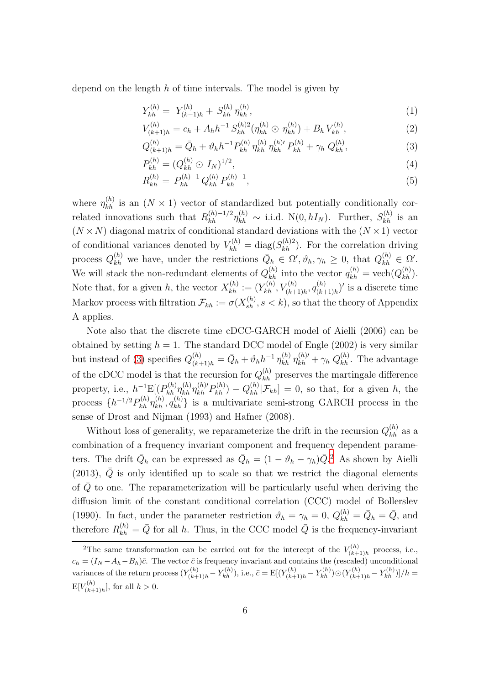depend on the length  $h$  of time intervals. The model is given by

<span id="page-5-3"></span><span id="page-5-2"></span>
$$
Y_{kh}^{(h)} = Y_{(k-1)h}^{(h)} + S_{kh}^{(h)} \eta_{kh}^{(h)}, \tag{1}
$$

$$
V_{(k+1)h}^{(h)} = c_h + A_h h^{-1} S_{kh}^{(h)2} (\eta_{kh}^{(h)} \odot \eta_{kh}^{(h)}) + B_h V_{kh}^{(h)}, \tag{2}
$$

<span id="page-5-0"></span>
$$
Q_{(k+1)h}^{(h)} = \bar{Q}_h + \vartheta_h h^{-1} P_{kh}^{(h)} \eta_{kh}^{(h)} \eta_{kh}^{(h)} P_{kh}^{(h)} + \gamma_h Q_{kh}^{(h)}, \qquad (3)
$$

<span id="page-5-4"></span>
$$
P_{kh}^{(h)} = (Q_{kh}^{(h)} \odot I_N)^{1/2},\tag{4}
$$

$$
R_{kh}^{(h)} = P_{kh}^{(h)-1} Q_{kh}^{(h)} P_{kh}^{(h)-1}, \tag{5}
$$

where  $\eta_{kh}^{(h)}$  is an  $(N \times 1)$  vector of standardized but potentially conditionally correlated innovations such that  $R_{kh}^{(h)-1/2}\eta_{kh}^{(h)} \sim$  i.i.d.  $N(0, hI_N)$ . Further,  $S_{kh}^{(h)}$  is an  $(N \times N)$  diagonal matrix of conditional standard deviations with the  $(N \times 1)$  vector of conditional variances denoted by  $V_{kh}^{(h)} = \text{diag}(S_{kh}^{(h)2})$ . For the correlation driving process  $Q_{kh}^{(h)}$  we have, under the restrictions  $\overline{Q}_h \in \Omega', \vartheta_h, \gamma_h \geq 0$ , that  $Q_{kh}^{(h)} \in \Omega'.$ We will stack the non-redundant elements of  $Q_{kh}^{(h)}$  into the vector  $q_{kh}^{(h)} = \text{vech}(Q_{kh}^{(h)})$ . Note that, for a given h, the vector  $X_{kh}^{(h)} := (Y_{kh}^{(h)}, V_{(k+1)h}^{(h)}, q_{(k+1)h}^{(h)})$  $\binom{(h)}{(k+1)h}$ ' is a discrete time Markov process with filtration  $\mathcal{F}_{kh} := \sigma(X_{sh}^{(h)}, s < k)$ , so that the theory of Appendix A applies.

Note also that the discrete time cDCC-GARCH model of Aielli (2006) can be obtained by setting  $h = 1$ . The standard DCC model of Engle (2002) is very similar but instead of [\(3\)](#page-5-0) specifies  $Q_{(k+1)h}^{(h)} = \bar{Q}_h + \vartheta_h h^{-1} \eta_{kh}^{(h)} \eta_{kh}^{(h)'} + \gamma_h Q_{kh}^{(h)}$ . The advantage of the cDCC model is that the recursion for  $Q_{kh}^{(h)}$  preserves the martingale difference property, i.e.,  $h^{-1} \mathbb{E}[(P_{kh}^{(h)} \eta_{kh}^{(h)} P_{kh}^{(h)} - Q_{kh}^{(h)} | \mathcal{F}_{kh}] = 0$ , so that, for a given h, the process  $\{h^{-1/2}P_{kh}^{(h)}\eta_{kh}^{(h)}, q_{kh}^{(h)}\}$  is a multivariate semi-strong GARCH process in the sense of Drost and Nijman (1993) and Hafner (2008).

Without loss of generality, we reparameterize the drift in the recursion  $Q_{kh}^{(h)}$  as a combination of a frequency invariant component and frequency dependent parameters. The drift  $\bar{Q}_h$  can be expressed as  $\bar{Q}_h = (1 - \vartheta_h - \gamma_h)\bar{Q}$ .<sup>[2](#page-5-1)</sup> As shown by Aielli (2013),  $\overline{Q}$  is only identified up to scale so that we restrict the diagonal elements of  $\overline{Q}$  to one. The reparameterization will be particularly useful when deriving the diffusion limit of the constant conditional correlation (CCC) model of Bollerslev (1990). In fact, under the parameter restriction  $\vartheta_h = \gamma_h = 0$ ,  $Q_{kh}^{(h)} = \bar{Q}_h = \bar{Q}$ , and therefore  $R_{kh}^{(h)} = \bar{Q}$  for all h. Thus, in the CCC model  $\bar{Q}$  is the frequency-invariant

<span id="page-5-1"></span><sup>&</sup>lt;sup>2</sup>The same transformation can be carried out for the intercept of the  $V_{(k+1)}^{(h)}$  $\zeta^{(h)}_{(k+1)h}$  process, i.e.,  $c_h = (I_N - A_h - B_h)\bar{c}$ . The vector  $\bar{c}$  is frequency invariant and contains the (rescaled) unconditional variances of the return process  $(Y_{(k+1)h}^{(h)} - Y_{kh}^{(h)}),$  i.e.,  $\bar{c} = \mathbb{E}[(Y_{(k+1)h}^{(h)} - Y_{kh}^{(h)}) \odot (Y_{(k+1)h}^{(h)} - Y_{kh}^{(h)})]/h =$  $E[V_{(k+1)}^{(h)}]$  $\binom{n}{(k+1)h}$ , for all  $h > 0$ .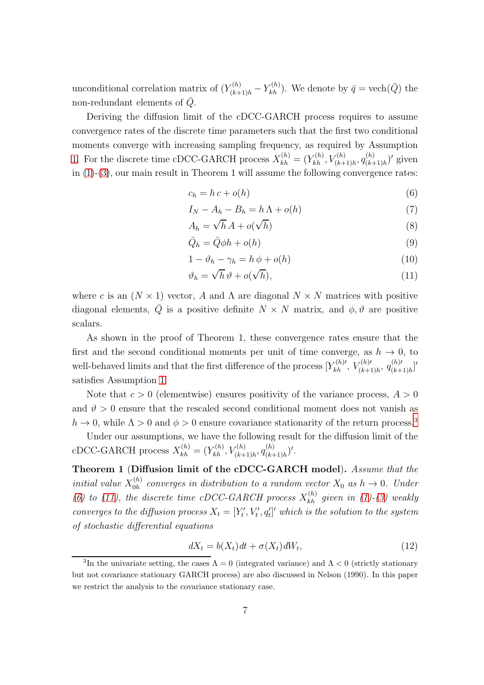unconditional correlation matrix of  $(Y_{(k+1)h}^{(h)} - Y_{kh}^{(h)})$ . We denote by  $\bar{q} = \text{vech}(\bar{Q})$  the non-redundant elements of  $\overline{Q}$ .

Deriving the diffusion limit of the cDCC-GARCH process requires to assume convergence rates of the discrete time parameters such that the first two conditional moments converge with increasing sampling frequency, as required by Assumption [1.](#page-20-0) For the discrete time cDCC-GARCH process  $X_{kh}^{(h)} = (Y_{kh}^{(h)}, V_{(k+1)h}^{(h)}, q_{(k+1)h}^{(h)})$  $\frac{(h)}{(k+1)h}$  given in [\(1\)](#page-5-2)-[\(3\)](#page-5-0), our main result in Theorem 1 will assume the following convergence rates:

<span id="page-6-1"></span>
$$
c_h = h c + o(h) \tag{6}
$$

$$
I_N - A_h - B_h = h \Lambda + o(h) \tag{7}
$$

<span id="page-6-8"></span><span id="page-6-5"></span>
$$
A_h = \sqrt{h} A + o(\sqrt{h})
$$
\n(8)

<span id="page-6-7"></span><span id="page-6-6"></span>
$$
\bar{Q}_h = \bar{Q}\phi h + o(h) \tag{9}
$$

$$
1 - \vartheta_h - \gamma_h = h \, \phi + o(h) \tag{10}
$$

<span id="page-6-2"></span>
$$
\vartheta_h = \sqrt{h} \,\vartheta + o(\sqrt{h}),\tag{11}
$$

where c is an  $(N \times 1)$  vector, A and  $\Lambda$  are diagonal  $N \times N$  matrices with positive diagonal elements,  $\overline{Q}$  is a positive definite  $N \times N$  matrix, and  $\phi, \vartheta$  are positive scalars.

As shown in the proof of Theorem 1, these convergence rates ensure that the first and the second conditional moments per unit of time converge, as  $h \to 0$ , to well-behaved limits and that the first difference of the process  $[Y_{kh}^{(h)'}$ ,  $V_{(k+1)h}^{(h)'}$ ,  $q_{(k+1)h}^{(h)'}$  $\binom{(h)'}{(k+1)h}$ satisfies Assumption [1.](#page-20-0)

Note that  $c > 0$  (elementwise) ensures positivity of the variance process,  $A > 0$ and  $\vartheta > 0$  ensure that the rescaled second conditional moment does not vanish as  $h \to 0$ , while  $\Lambda > 0$  and  $\phi > 0$  ensure covariance stationarity of the return process.<sup>[3](#page-6-0)</sup>

<span id="page-6-4"></span>Under our assumptions, we have the following result for the diffusion limit of the cDCC-GARCH process  $X_{kh}^{(h)} = (Y_{kh}^{(h)}, V_{(k+1)h}^{(h)}, q_{(k+1)h}^{(h)})$  $\binom{(h)}{(k+1)h}'$ .

Theorem 1 (Diffusion limit of the cDCC-GARCH model). Assume that the initial value  $X_{0h}^{(h)}$  $\alpha_{0h}^{(h)}$  converges in distribution to a random vector  $X_0$  as  $h \to 0$ . Under [\(6\)](#page-6-1) to [\(11\)](#page-6-2), the discrete time cDCC-GARCH process  $X_{kh}^{(h)}$  given in [\(1\)](#page-5-2)-[\(3\)](#page-5-0) weakly converges to the diffusion process  $X_t = [Y'_t, V'_t, q'_t]'$  which is the solution to the system of stochastic differential equations

<span id="page-6-3"></span>
$$
dX_t = b(X_t)dt + \sigma(X_t)dW_t,
$$
\n(12)

<span id="page-6-0"></span><sup>&</sup>lt;sup>3</sup>In the univariate setting, the cases  $\Lambda = 0$  (integrated variance) and  $\Lambda < 0$  (strictly stationary but not covariance stationary GARCH process) are also discussed in Nelson (1990). In this paper we restrict the analysis to the covariance stationary case.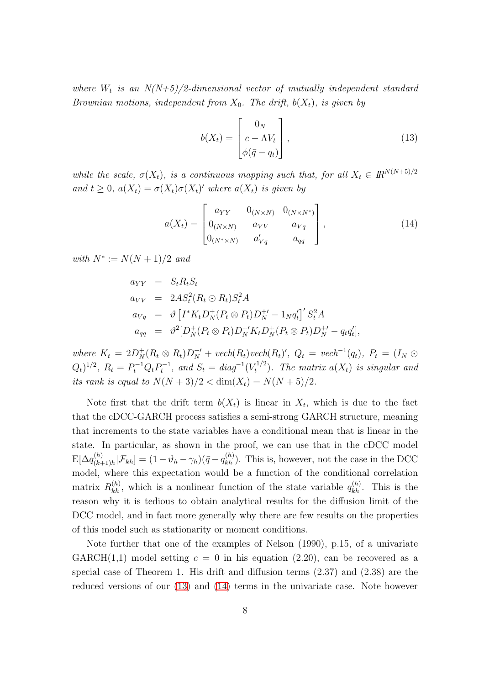where  $W_t$  is an  $N(N+5)/2$ -dimensional vector of mutually independent standard Brownian motions, independent from  $X_0$ . The drift,  $b(X_t)$ , is given by

<span id="page-7-0"></span>
$$
b(X_t) = \begin{bmatrix} 0_N \\ c - \Lambda V_t \\ \phi(\bar{q} - q_t) \end{bmatrix},
$$
\n(13)

while the scale,  $\sigma(X_t)$ , is a continuous mapping such that, for all  $X_t \in \mathbb{R}^{N(N+5)/2}$ and  $t \geq 0$ ,  $a(X_t) = \sigma(X_t)\sigma(X_t)'$  where  $a(X_t)$  is given by

<span id="page-7-1"></span>
$$
a(X_t) = \begin{bmatrix} a_{YY} & 0_{(N \times N)} & 0_{(N \times N^*)} \\ 0_{(N \times N)} & a_{VV} & a_{Vq} \\ 0_{(N^* \times N)} & a'_{Vq} & a_{qq} \end{bmatrix},
$$
(14)

with  $N^* := N(N + 1)/2$  and

$$
a_{YY} = S_t R_t S_t
$$
  
\n
$$
a_{VV} = 2AS_t^2 (R_t \odot R_t) S_t^2 A
$$
  
\n
$$
a_{Vq} = \vartheta \left[ I^* K_t D_N^+ (P_t \otimes P_t) D_N^{+'} - 1_N q_t' \right]' S_t^2 A
$$
  
\n
$$
a_{qq} = \vartheta^2 [D_N^+ (P_t \otimes P_t) D_N^{+'} K_t D_N^+ (P_t \otimes P_t) D_N^{+'} - q_t q_t'],
$$

where  $K_t = 2D_N^+(R_t \otimes R_t)D_N^{+\prime} + \text{vech}(R_t)\text{vech}(R_t)^\prime$ ,  $Q_t = \text{vech}^{-1}(q_t)$ ,  $P_t = (I_N \odot R_t)$  $(Q_t)^{1/2}$ ,  $R_t = P_t^{-1} Q_t P_t^{-1}$ , and  $S_t = diag^{-1}(V_t^{1/2})$  $\binom{t^{1/2}}{t}$ . The matrix  $a(X_t)$  is singular and its rank is equal to  $N(N+3)/2 < \dim(X_t) = N(N+5)/2$ .

Note first that the drift term  $b(X_t)$  is linear in  $X_t$ , which is due to the fact that the cDCC-GARCH process satisfies a semi-strong GARCH structure, meaning that increments to the state variables have a conditional mean that is linear in the state. In particular, as shown in the proof, we can use that in the cDCC model  $\mathrm{E}[\Delta q_{(k+1)}^{(h)}]$  $\binom{(h)}{(k+1)h}$ ,  $\mathcal{F}_{kh}$  =  $(1 - \vartheta_h - \gamma_h)(\bar{q} - q_{kh}^{(h)})$ . This is, however, not the case in the DCC model, where this expectation would be a function of the conditional correlation matrix  $R_{kh}^{(h)}$ , which is a nonlinear function of the state variable  $q_{kh}^{(h)}$ . This is the reason why it is tedious to obtain analytical results for the diffusion limit of the DCC model, and in fact more generally why there are few results on the properties of this model such as stationarity or moment conditions.

Note further that one of the examples of Nelson (1990), p.15, of a univariate GARCH(1,1) model setting  $c = 0$  in his equation (2.20), can be recovered as a special case of Theorem 1. His drift and diffusion terms (2.37) and (2.38) are the reduced versions of our [\(13\)](#page-7-0) and [\(14\)](#page-7-1) terms in the univariate case. Note however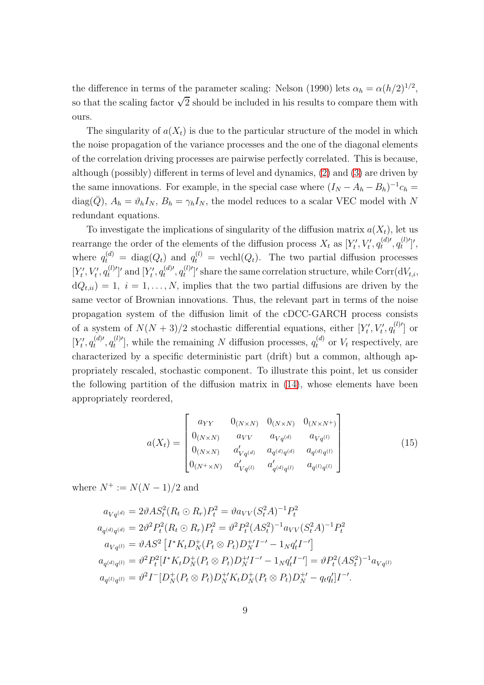the difference in terms of the parameter scaling: Nelson (1990) lets  $\alpha_h = \alpha (h/2)^{1/2}$ , so that the scaling factor  $\sqrt{2}$  should be included in his results to compare them with ours.

The singularity of  $a(X_t)$  is due to the particular structure of the model in which the noise propagation of the variance processes and the one of the diagonal elements of the correlation driving processes are pairwise perfectly correlated. This is because, although (possibly) different in terms of level and dynamics, [\(2\)](#page-5-3) and [\(3\)](#page-5-0) are driven by the same innovations. For example, in the special case where  $(I_N - A_h - B_h)^{-1}c_h =$ diag( $\bar{Q}$ ),  $A_h = \vartheta_h I_N$ ,  $B_h = \gamma_h I_N$ , the model reduces to a scalar VEC model with N redundant equations.

To investigate the implications of singularity of the diffusion matrix  $a(X_t)$ , let us rearrange the order of the elements of the diffusion process  $X_t$  as  $[Y'_t, V'_t, q_t^{(d)}]$  $q_t^{(d)\prime},q_t^{(l)\prime}$  $\bigl( \begin{smallmatrix} l & l' \ l' \end{smallmatrix} \bigr)^\prime,$ where  $q_t^{(d)} = \text{diag}(Q_t)$  and  $q_t^{(l)} = \text{vech}(Q_t)$ . The two partial diffusion processes  $[Y'_t, V'_t, q_t^{(l)}']$  $[t^{(l)'}]$ ' and  $[Y'_t, q_t^{(d)'}]$  $q_t^{(d)\prime},q_t^{(l)\prime}$  $t^{(l)'}$ 's share the same correlation structure, while Corr $(dV_{t,i},$  $dQ_{t,ii}$ ) = 1, i = 1, ..., N, implies that the two partial diffusions are driven by the same vector of Brownian innovations. Thus, the relevant part in terms of the noise propagation system of the diffusion limit of the cDCC-GARCH process consists of a system of  $N(N+3)/2$  stochastic differential equations, either  $[Y'_t, V'_t, q_t^{(l)}]$  $\left[\begin{smallmatrix} U' \\ t \end{smallmatrix}\right]$  or  $[Y'_t, q_t^{(d)}']$  $q_t^{(d)\prime},q_t^{(l)\prime}$  $t_t^{(l)}$ , while the remaining N diffusion processes,  $q_t^{(d)}$  or  $V_t$  respectively, are characterized by a specific deterministic part (drift) but a common, although appropriately rescaled, stochastic component. To illustrate this point, let us consider the following partition of the diffusion matrix in [\(14\)](#page-7-1), whose elements have been appropriately reordered,

<span id="page-8-0"></span>
$$
a(X_t) = \begin{bmatrix} a_{YY} & 0_{(N \times N)} & 0_{(N \times N)} & 0_{(N \times N^{+})} \\ 0_{(N \times N)} & a_{VV} & a_{Vq^{(d)}} & a_{Vq^{(l)}} \\ 0_{(N \times N)} & a'_{Vq^{(d)}} & a_{q^{(d)}q^{(d)}} & a_{q^{(d)}q^{(l)}} \\ 0_{(N^{+} \times N)} & a'_{Vq^{(l)}} & a'_{q^{(d)}q^{(l)}} & a_{q^{(l)}q^{(l)}} \end{bmatrix}
$$
(15)

where  $N^+ := N(N-1)/2$  and

$$
a_{Vq^{(d)}} = 2\vartheta AS_t^2 (R_t \odot R_r) P_t^2 = \vartheta a_{VV} (S_t^2 A)^{-1} P_t^2
$$
  
\n
$$
a_{q^{(d)}q^{(d)}} = 2\vartheta^2 P_t^2 (R_t \odot R_r) P_t^2 = \vartheta^2 P_t^2 (AS_t^2)^{-1} a_{VV} (S_t^2 A)^{-1} P_t^2
$$
  
\n
$$
a_{Vq^{(l)}} = \vartheta AS^2 \left[ I^* K_t D_N^+ (P_t \otimes P_t) D_N^+ I^{-1} - 1_N q_t' I^{-1} \right]
$$
  
\n
$$
a_{q^{(d)}q^{(l)}} = \vartheta^2 P_t^2 [I^* K_t D_N^+ (P_t \otimes P_t) D_N^+ I^{-1} - 1_N q_t' I^{-1}] = \vartheta P_t^2 (AS_t^2)^{-1} a_{Vq^{(l)}}
$$
  
\n
$$
a_{q^{(l)}q^{(l)}} = \vartheta^2 I^- [D_N^+ (P_t \otimes P_t) D_N^+ K_t D_N^+ (P_t \otimes P_t) D_N^{+1} - q_t q_t' ] I^{-1}.
$$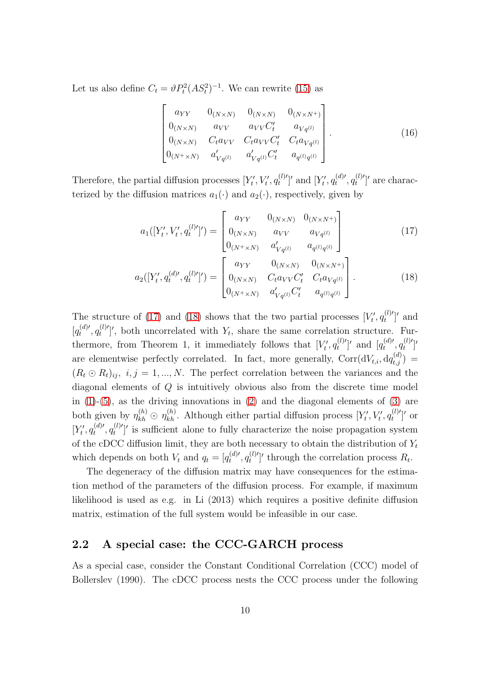Let us also define  $C_t = \vartheta P_t^2 (AS_t^2)^{-1}$ . We can rewrite [\(15\)](#page-8-0) as

<span id="page-9-2"></span>
$$
\begin{bmatrix}\n a_{YY} & 0_{(N \times N)} & 0_{(N \times N)} & 0_{(N \times N^{+})} \\
 0_{(N \times N)} & a_{VV} & a_{VV} C'_{t} & a_{Vq^{(l)}} \\
 0_{(N \times N)} & C_{t} a_{VV} & C_{t} a_{VV} C'_{t} & C_{t} a_{Vq^{(l)}} \\
 0_{(N^{+} \times N)} & a'_{Vq^{(l)}} & a'_{Vq^{(l)}} C'_{t} & a_{q^{(l)}q^{(l)}}\n\end{bmatrix}.
$$
\n(16)

Therefore, the partial diffusion processes  $[Y'_t, V'_t, q_t^{(l)}]$  $[t^{(l)'}]$ ' and  $[Y'_t, q_t^{(d)}]$ '  $q_t^{(d)\prime},q_t^{(l)\prime}$  $t^{(l)'}$  are characterized by the diffusion matrices  $a_1(\cdot)$  and  $a_2(\cdot)$ , respectively, given by

<span id="page-9-1"></span><span id="page-9-0"></span>
$$
a_1([Y'_t, V'_t, q_t^{(l)'}]') = \begin{bmatrix} a_{YY} & 0_{(N \times N)} & 0_{(N \times N^+)} \\ 0_{(N \times N)} & a_{VV} & a_{Vq^{(l)}} \\ 0_{(N^+ \times N)} & a'_{Vq^{(l)}} & a_{q^{(l)}q^{(l)}} \end{bmatrix}
$$
(17)

$$
a_2([Y'_t, q_t^{(d) \prime}, q_t^{(l)\prime}]') = \begin{bmatrix} a_{YY} & 0_{(N \times N)} & 0_{(N \times N^{+})} \\ 0_{(N \times N)} & C_t a_{VV} C'_t & C_t a_{Vq^{(l)}} \\ 0_{(N^{+} \times N)} & a'_{Vq^{(l)}} C'_t & a_{q^{(l)}q^{(l)}} \end{bmatrix}.
$$
 (18)

The structure of [\(17\)](#page-9-0) and [\(18\)](#page-9-1) shows that the two partial processes  $[V'_t, q_t^{(l)}]$  $t^{(l)'}$ ]' and  $[q_t^{(d)\prime}]$  $q_t^{(d)\prime},q_t^{(l)\prime}$  $t_t^{(l)'}$ , both uncorrelated with  $Y_t$ , share the same correlation structure. Furthermore, from Theorem 1, it immediately follows that  $[V'_t, q_t^{(l)}]$  $[t^{(l)'}]$ ' and  $[q_t^{(d)'}]$  $q_t^{(d)\prime},q_t^{(l)\prime}$  $\left[\begin{smallmatrix} l \end{smallmatrix}\right]^\prime$ are elementwise perfectly correlated. In fact, more generally,  $Corr(dV_{t,i}, dq_{t,j}^{(d)}) =$  $(R_t \odot R_t)_{ij}, i, j = 1, ..., N$ . The perfect correlation between the variances and the diagonal elements of Q is intuitively obvious also from the discrete time model in  $(1)-(5)$  $(1)-(5)$ , as the driving innovations in  $(2)$  and the diagonal elements of  $(3)$  are both given by  $\eta_{kh}^{(h)} \odot \eta_{kh}^{(h)}$ . Although either partial diffusion process  $[Y'_t, V'_t, q_t^{(l)}]$  $t^{(l)'}$ ]' or  $[Y'_t, q_t^{(d)}]$  $q_t^{(d)\prime},q_t^{(l)\prime}$  $\mathcal{L}^{(l)}$  is sufficient alone to fully characterize the noise propagation system of the cDCC diffusion limit, they are both necessary to obtain the distribution of  $Y_t$ which depends on both  $V_t$  and  $q_t = [q_t^{(d)}]$  $q_t^{(d)\prime},q_t^{(l)\prime}$  $\binom{l^{(l)}}{t}$  through the correlation process  $R_t$ .

The degeneracy of the diffusion matrix may have consequences for the estimation method of the parameters of the diffusion process. For example, if maximum likelihood is used as e.g. in Li (2013) which requires a positive definite diffusion matrix, estimation of the full system would be infeasible in our case.

### 2.2 A special case: the CCC-GARCH process

As a special case, consider the Constant Conditional Correlation (CCC) model of Bollerslev (1990). The cDCC process nests the CCC process under the following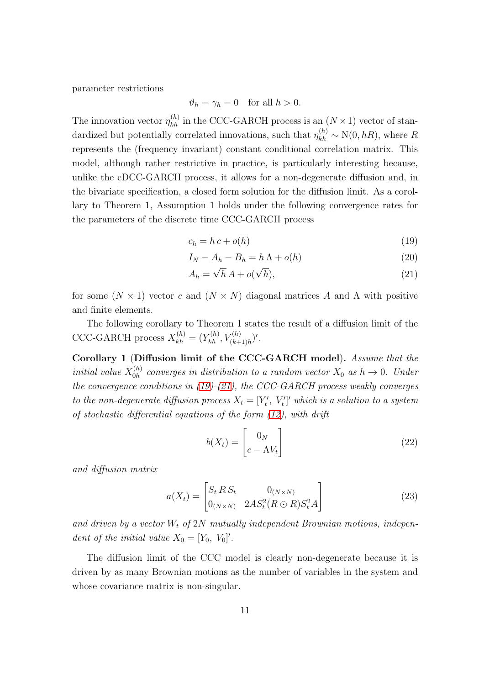parameter restrictions

$$
\vartheta_h = \gamma_h = 0 \quad \text{for all } h > 0.
$$

The innovation vector  $\eta_{kh}^{(h)}$  in the CCC-GARCH process is an  $(N \times 1)$  vector of standardized but potentially correlated innovations, such that  $\eta_{kh}^{(h)} \sim N(0, hR)$ , where R represents the (frequency invariant) constant conditional correlation matrix. This model, although rather restrictive in practice, is particularly interesting because, unlike the cDCC-GARCH process, it allows for a non-degenerate diffusion and, in the bivariate specification, a closed form solution for the diffusion limit. As a corollary to Theorem 1, Assumption 1 holds under the following convergence rates for the parameters of the discrete time CCC-GARCH process

<span id="page-10-0"></span>
$$
c_h = h c + o(h) \tag{19}
$$

$$
I_N - A_h - B_h = h \Lambda + o(h) \tag{20}
$$

<span id="page-10-1"></span>
$$
A_h = \sqrt{h} A + o(\sqrt{h}), \qquad (21)
$$

for some  $(N \times 1)$  vector c and  $(N \times N)$  diagonal matrices A and  $\Lambda$  with positive and finite elements.

The following corollary to Theorem 1 states the result of a diffusion limit of the CCC-GARCH process  $X_{kh}^{(h)} = (Y_{kh}^{(h)}, V_{(k+1)h}^{(h)})'$ .

Corollary 1 (Diffusion limit of the CCC-GARCH model). Assume that the initial value  $X_{0h}^{(h)}$  $\chi_{0h}^{(h)}$  converges in distribution to a random vector  $X_0$  as  $h \to 0$ . Under the convergence conditions in  $(19)-(21)$  $(19)-(21)$ , the CCC-GARCH process weakly converges to the non-degenerate diffusion process  $X_t = [Y'_t, V'_t]'$  which is a solution to a system of stochastic differential equations of the form [\(12\)](#page-6-3), with drift

$$
b(X_t) = \begin{bmatrix} 0_N \\ c - \Lambda V_t \end{bmatrix}
$$
 (22)

and diffusion matrix

$$
a(X_t) = \begin{bmatrix} S_t R S_t & 0_{(N \times N)} \\ 0_{(N \times N)} & 2A S_t^2 (R \odot R) S_t^2 A \end{bmatrix}
$$
 (23)

and driven by a vector  $W_t$  of  $2N$  mutually independent Brownian motions, independent of the initial value  $X_0 = [Y_0, V_0]'$ .

The diffusion limit of the CCC model is clearly non-degenerate because it is driven by as many Brownian motions as the number of variables in the system and whose covariance matrix is non-singular.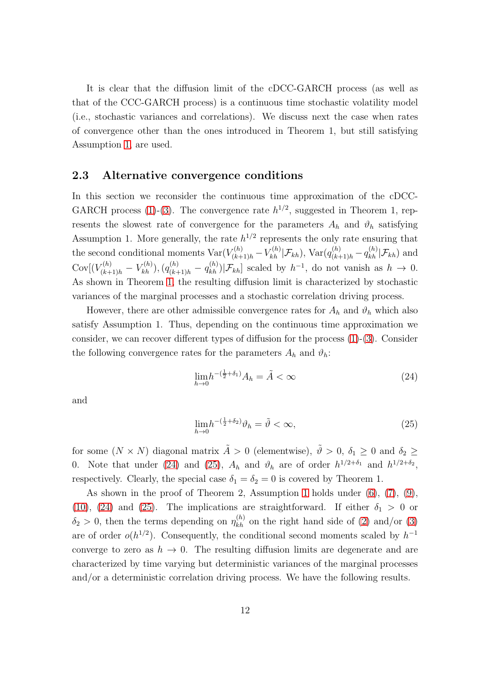It is clear that the diffusion limit of the cDCC-GARCH process (as well as that of the CCC-GARCH process) is a continuous time stochastic volatility model (i.e., stochastic variances and correlations). We discuss next the case when rates of convergence other than the ones introduced in Theorem 1, but still satisfying Assumption [1,](#page-20-0) are used.

### 2.3 Alternative convergence conditions

In this section we reconsider the continuous time approximation of the cDCC-GARCH process [\(1\)](#page-5-2)-[\(3\)](#page-5-0). The convergence rate  $h^{1/2}$ , suggested in Theorem 1, represents the slowest rate of convergence for the parameters  $A_h$  and  $\vartheta_h$  satisfying Assumption 1. More generally, the rate  $h^{1/2}$  represents the only rate ensuring that the second conditional moments  $\text{Var}(V_{(k+1)h}^{(h)} - V_{kh}^{(h)} | \mathcal{F}_{kh})$ ,  $\text{Var}(q_{(k+1)h}^{(h)} - q_{kh}^{(h)} | \mathcal{F}_{kh})$  and  $Cov[(V_{(k+1)h}^{(h)} - V_{kh}^{(h)}), (q_{(k+1)h}^{(h)} - q_{kh}^{(h)}) | \mathcal{F}_{kh}]$  scaled by  $h^{-1}$ , do not vanish as  $h \to 0$ . As shown in Theorem [1,](#page-6-4) the resulting diffusion limit is characterized by stochastic variances of the marginal processes and a stochastic correlation driving process.

However, there are other admissible convergence rates for  $A_h$  and  $\vartheta_h$  which also satisfy Assumption 1. Thus, depending on the continuous time approximation we consider, we can recover different types of diffusion for the process [\(1\)](#page-5-2)-[\(3\)](#page-5-0). Consider the following convergence rates for the parameters  $A_h$  and  $\vartheta_h$ :

<span id="page-11-0"></span>
$$
\lim_{h \to 0} h^{-(\frac{1}{2} + \delta_1)} A_h = \tilde{A} < \infty \tag{24}
$$

and

<span id="page-11-1"></span>
$$
\lim_{h \to 0} h^{-\left(\frac{1}{2} + \delta_2\right)} \vartheta_h = \tilde{\vartheta} < \infty,\tag{25}
$$

for some  $(N \times N)$  diagonal matrix  $\tilde{A} > 0$  (elementwise),  $\tilde{\vartheta} > 0$ ,  $\delta_1 \geq 0$  and  $\delta_2 \geq$ 0. Note that under [\(24\)](#page-11-0) and [\(25\)](#page-11-1),  $A_h$  and  $\vartheta_h$  are of order  $h^{1/2+\delta_1}$  and  $h^{1/2+\delta_2}$ , respectively. Clearly, the special case  $\delta_1 = \delta_2 = 0$  is covered by Theorem 1.

<span id="page-11-2"></span>As shown in the proof of Theorem 2, Assumption [1](#page-20-0) holds under [\(6\)](#page-6-1), [\(7\)](#page-6-5), [\(9\)](#page-6-6), [\(10\)](#page-6-7), [\(24\)](#page-11-0) and [\(25\)](#page-11-1). The implications are straightforward. If either  $\delta_1 > 0$  or  $\delta_2 > 0$ , then the terms depending on  $\eta_{kh}^{(h)}$  on the right hand side of [\(2\)](#page-5-3) and/or [\(3\)](#page-5-0) are of order  $o(h^{1/2})$ . Consequently, the conditional second moments scaled by  $h^{-1}$ converge to zero as  $h \to 0$ . The resulting diffusion limits are degenerate and are characterized by time varying but deterministic variances of the marginal processes and/or a deterministic correlation driving process. We have the following results.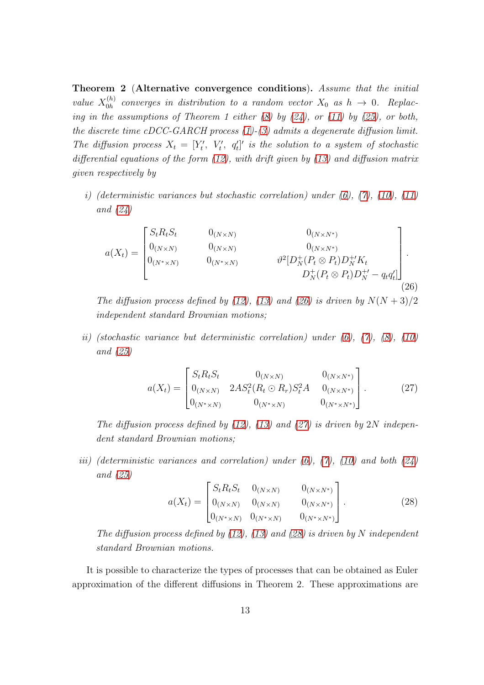Theorem 2 (Alternative convergence conditions). Assume that the initial value  $X_{0h}^{(h)}$  $\chi_{0h}^{(h)}$  converges in distribution to a random vector  $X_0$  as  $h \to 0$ . Replacing in the assumptions of Theorem 1 either  $(8)$  by  $(24)$ , or  $(11)$  by  $(25)$ , or both, the discrete time cDCC-GARCH process  $(1)$ - $(3)$  admits a degenerate diffusion limit. The diffusion process  $X_t = [Y'_t, V'_t, q'_t]'$  is the solution to a system of stochastic differential equations of the form  $(12)$ , with drift given by  $(13)$  and diffusion matrix given respectively by

i) (deterministic variances but stochastic correlation) under  $(6)$ ,  $(7)$ ,  $(10)$ ,  $(11)$ and [\(24\)](#page-11-0)

<span id="page-12-0"></span>
$$
a(X_t) = \begin{bmatrix} S_t R_t S_t & 0_{(N \times N)} & 0_{(N \times N)} \\ 0_{(N \times N)} & 0_{(N \times N)} & 0_{(N \times N)} \\ 0_{(N^* \times N)} & 0_{(N^* \times N)} & \vartheta^2 [D_N^+(P_t \otimes P_t) D_N^+ / K_t \\ D_N^+(P_t \otimes P_t) D_N^{+'} - q_t q_t'] \end{bmatrix} .
$$
\n(26)

The diffusion process defined by [\(12\)](#page-6-3), [\(13\)](#page-7-0) and [\(26\)](#page-12-0) is driven by  $N(N+3)/2$ independent standard Brownian motions;

ii) (stochastic variance but deterministic correlation) under  $(6)$ ,  $(7)$ ,  $(8)$ ,  $(10)$ and [\(25\)](#page-11-1)

<span id="page-12-1"></span>
$$
a(X_t) = \begin{bmatrix} S_t R_t S_t & 0_{(N \times N)} & 0_{(N \times N^*)} \\ 0_{(N \times N)} & 2A S_t^2 (R_t \odot R_r) S_t^2 A & 0_{(N \times N^*)} \\ 0_{(N^* \times N)} & 0_{(N^* \times N)} & 0_{(N^* \times N^*)} \end{bmatrix} .
$$
 (27)

The diffusion process defined by  $(12)$ ,  $(13)$  and  $(27)$  is driven by  $2N$  independent standard Brownian motions;

iii) (deterministic variances and correlation) under  $(6)$ ,  $(7)$ ,  $(10)$  and both  $(24)$ and [\(25\)](#page-11-1)

<span id="page-12-2"></span>
$$
a(X_t) = \begin{bmatrix} S_t R_t S_t & 0_{(N \times N)} & 0_{(N \times N^*)} \\ 0_{(N \times N)} & 0_{(N \times N)} & 0_{(N \times N^*)} \\ 0_{(N^* \times N)} & 0_{(N^* \times N)} & 0_{(N^* \times N^*)} \end{bmatrix}.
$$
 (28)

The diffusion process defined by  $(12)$ ,  $(13)$  and  $(28)$  is driven by N independent standard Brownian motions.

It is possible to characterize the types of processes that can be obtained as Euler approximation of the different diffusions in Theorem 2. These approximations are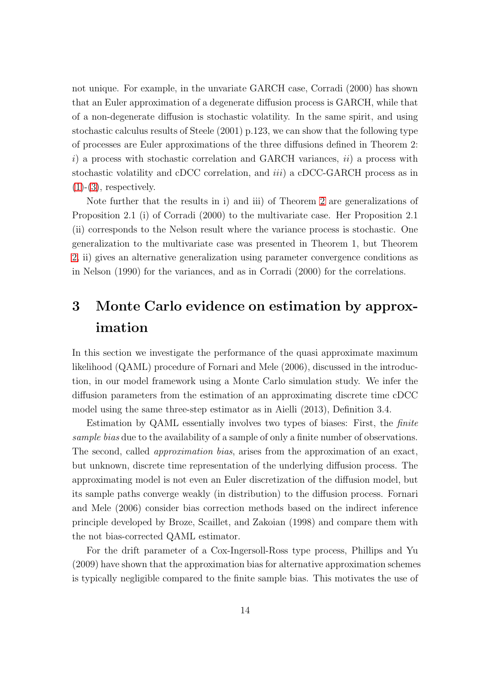not unique. For example, in the unvariate GARCH case, Corradi (2000) has shown that an Euler approximation of a degenerate diffusion process is GARCH, while that of a non-degenerate diffusion is stochastic volatility. In the same spirit, and using stochastic calculus results of Steele (2001) p.123, we can show that the following type of processes are Euler approximations of the three diffusions defined in Theorem 2: i) a process with stochastic correlation and GARCH variances,  $ii$ ) a process with stochastic volatility and cDCC correlation, and *iii*) a cDCC-GARCH process as in  $(1)-(3)$  $(1)-(3)$  $(1)-(3)$ , respectively.

Note further that the results in i) and iii) of Theorem [2](#page-11-2) are generalizations of Proposition 2.1 (i) of Corradi (2000) to the multivariate case. Her Proposition 2.1 (ii) corresponds to the Nelson result where the variance process is stochastic. One generalization to the multivariate case was presented in Theorem 1, but Theorem [2,](#page-11-2) ii) gives an alternative generalization using parameter convergence conditions as in Nelson (1990) for the variances, and as in Corradi (2000) for the correlations.

## <span id="page-13-0"></span>3 Monte Carlo evidence on estimation by approximation

In this section we investigate the performance of the quasi approximate maximum likelihood (QAML) procedure of Fornari and Mele (2006), discussed in the introduction, in our model framework using a Monte Carlo simulation study. We infer the diffusion parameters from the estimation of an approximating discrete time cDCC model using the same three-step estimator as in Aielli (2013), Definition 3.4.

Estimation by QAML essentially involves two types of biases: First, the finite sample bias due to the availability of a sample of only a finite number of observations. The second, called *approximation bias*, arises from the approximation of an exact, but unknown, discrete time representation of the underlying diffusion process. The approximating model is not even an Euler discretization of the diffusion model, but its sample paths converge weakly (in distribution) to the diffusion process. Fornari and Mele (2006) consider bias correction methods based on the indirect inference principle developed by Broze, Scaillet, and Zakoian (1998) and compare them with the not bias-corrected QAML estimator.

For the drift parameter of a Cox-Ingersoll-Ross type process, Phillips and Yu (2009) have shown that the approximation bias for alternative approximation schemes is typically negligible compared to the finite sample bias. This motivates the use of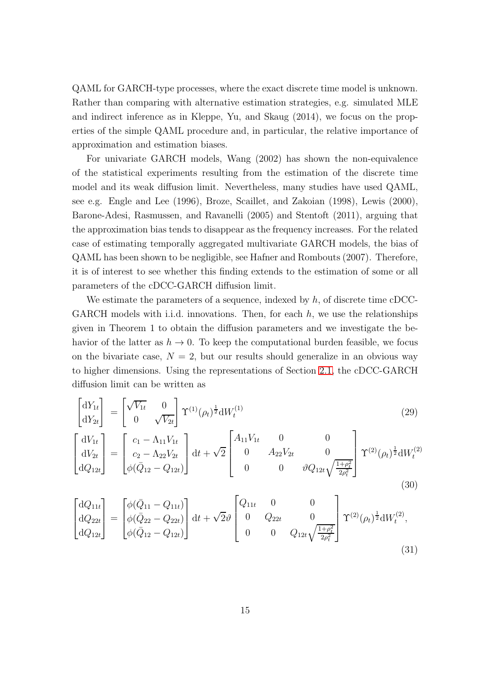QAML for GARCH-type processes, where the exact discrete time model is unknown. Rather than comparing with alternative estimation strategies, e.g. simulated MLE and indirect inference as in Kleppe, Yu, and Skaug (2014), we focus on the properties of the simple QAML procedure and, in particular, the relative importance of approximation and estimation biases.

For univariate GARCH models, Wang (2002) has shown the non-equivalence of the statistical experiments resulting from the estimation of the discrete time model and its weak diffusion limit. Nevertheless, many studies have used QAML, see e.g. Engle and Lee (1996), Broze, Scaillet, and Zakoian (1998), Lewis (2000), Barone-Adesi, Rasmussen, and Ravanelli (2005) and Stentoft (2011), arguing that the approximation bias tends to disappear as the frequency increases. For the related case of estimating temporally aggregated multivariate GARCH models, the bias of QAML has been shown to be negligible, see Hafner and Rombouts (2007). Therefore, it is of interest to see whether this finding extends to the estimation of some or all parameters of the cDCC-GARCH diffusion limit.

We estimate the parameters of a sequence, indexed by  $h$ , of discrete time cDCC-GARCH models with i.i.d. innovations. Then, for each  $h$ , we use the relationships given in Theorem 1 to obtain the diffusion parameters and we investigate the behavior of the latter as  $h \to 0$ . To keep the computational burden feasible, we focus on the bivariate case,  $N = 2$ , but our results should generalize in an obvious way to higher dimensions. Using the representations of Section [2.1,](#page-4-2) the cDCC-GARCH diffusion limit can be written as

<span id="page-14-0"></span>
$$
\begin{bmatrix} dY_{1t} \\ dY_{2t} \end{bmatrix} = \begin{bmatrix} \sqrt{V_{1t}} & 0 \\ 0 & \sqrt{V_{2t}} \end{bmatrix} \Upsilon^{(1)}(\rho_t)^{\frac{1}{2}} dW_t^{(1)} \tag{29}
$$

$$
\begin{bmatrix}\ndV_{1t} \\
dV_{2t} \\
dQ_{12t}\n\end{bmatrix} = \begin{bmatrix}\nc_1 - \Lambda_{11}V_{1t} \\
c_2 - \Lambda_{22}V_{2t} \\
\phi(\bar{Q}_{12} - Q_{12t})\n\end{bmatrix} dt + \sqrt{2} \begin{bmatrix}\nA_{11}V_{1t} & 0 & 0 \\
0 & A_{22}V_{2t} & 0 \\
0 & 0 & \vartheta Q_{12t}\sqrt{\frac{1+\rho_t^2}{2\rho_t^2}}\n\end{bmatrix} \Upsilon^{(2)}(\rho_t)^{\frac{1}{2}} dW_t^{(2)}(0) \tag{30}
$$

<span id="page-14-1"></span>
$$
\begin{bmatrix} dQ_{11t} \\ dQ_{22t} \\ dQ_{12t} \end{bmatrix} = \begin{bmatrix} \phi(\bar{Q}_{11} - Q_{11t}) \\ \phi(\bar{Q}_{22} - Q_{22t}) \\ \phi(\bar{Q}_{12} - Q_{12t}) \end{bmatrix} dt + \sqrt{2} \vartheta \begin{bmatrix} Q_{11t} & 0 & 0 \\ 0 & Q_{22t} & 0 \\ 0 & 0 & Q_{12t} \sqrt{\frac{1 + \rho_t^2}{2\rho_t^2}} \end{bmatrix} \Upsilon^{(2)}(\rho_t)^{\frac{1}{2}} dW_t^{(2)},
$$
\n(31)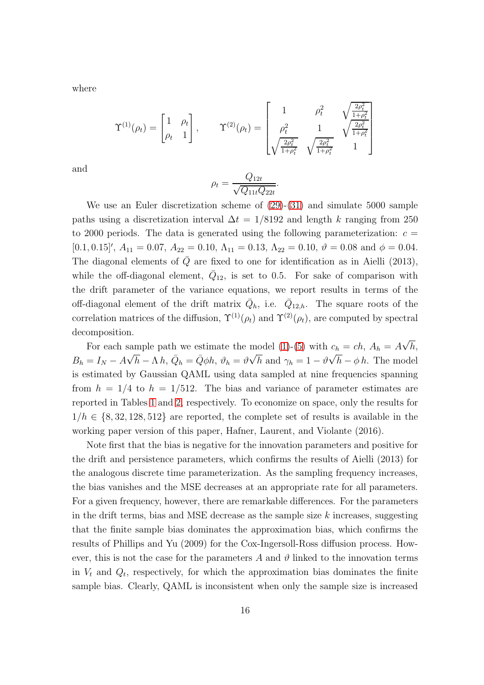where

$$
\Upsilon^{(1)}(\rho_t) = \begin{bmatrix} 1 & \rho_t \\ \rho_t & 1 \end{bmatrix}, \qquad \Upsilon^{(2)}(\rho_t) = \begin{bmatrix} 1 & \rho_t^2 & \sqrt{\frac{2\rho_t^2}{1+\rho_t^2}} \\ \rho_t^2 & 1 & \sqrt{\frac{2\rho_t^2}{1+\rho_t^2}} \\ \sqrt{\frac{2\rho_t^2}{1+\rho_t^2}} & \sqrt{\frac{2\rho_t^2}{1+\rho_t^2}} & 1 \end{bmatrix}
$$

and

$$
\rho_t = \frac{Q_{12t}}{\sqrt{Q_{11t}Q_{22t}}}.
$$

We use an Euler discretization scheme of  $(29)-(31)$  $(29)-(31)$  and simulate 5000 sample paths using a discretization interval  $\Delta t = 1/8192$  and length k ranging from 250 to 2000 periods. The data is generated using the following parameterization:  $c =$ [0.1, 0.15]',  $A_{11} = 0.07$ ,  $A_{22} = 0.10$ ,  $\Lambda_{11} = 0.13$ ,  $\Lambda_{22} = 0.10$ ,  $\vartheta = 0.08$  and  $\phi = 0.04$ . The diagonal elements of  $\overline{Q}$  are fixed to one for identification as in Aielli (2013), while the off-diagonal element,  $\overline{Q}_{12}$ , is set to 0.5. For sake of comparison with the drift parameter of the variance equations, we report results in terms of the off-diagonal element of the drift matrix  $\overline{Q}_h$ , i.e.  $\overline{Q}_{12,h}$ . The square roots of the correlation matrices of the diffusion,  $\Upsilon^{(1)}(\rho_t)$  and  $\Upsilon^{(2)}(\rho_t)$ , are computed by spectral decomposition.

For each sample path we estimate the model [\(1\)](#page-5-2)-[\(5\)](#page-5-4) with  $c_h = ch$ ,  $A_h = A\sqrt{h}$ ,  $B_h = I_N - A\sqrt{h} - \Lambda h$ ,  $\bar{Q}_h = \bar{Q}\phi h$ ,  $\vartheta_h = \vartheta\sqrt{h}$  and  $\gamma_h = 1 - \vartheta\sqrt{h} - \phi h$ . The model is estimated by Gaussian QAML using data sampled at nine frequencies spanning from  $h = 1/4$  to  $h = 1/512$ . The bias and variance of parameter estimates are reported in Tables [1](#page-17-0) and [2,](#page-18-0) respectively. To economize on space, only the results for  $1/h \in \{8, 32, 128, 512\}$  are reported, the complete set of results is available in the working paper version of this paper, Hafner, Laurent, and Violante (2016).

Note first that the bias is negative for the innovation parameters and positive for the drift and persistence parameters, which confirms the results of Aielli (2013) for the analogous discrete time parameterization. As the sampling frequency increases, the bias vanishes and the MSE decreases at an appropriate rate for all parameters. For a given frequency, however, there are remarkable differences. For the parameters in the drift terms, bias and MSE decrease as the sample size  $k$  increases, suggesting that the finite sample bias dominates the approximation bias, which confirms the results of Phillips and Yu (2009) for the Cox-Ingersoll-Ross diffusion process. However, this is not the case for the parameters A and  $\vartheta$  linked to the innovation terms in  $V_t$  and  $Q_t$ , respectively, for which the approximation bias dominates the finite sample bias. Clearly, QAML is inconsistent when only the sample size is increased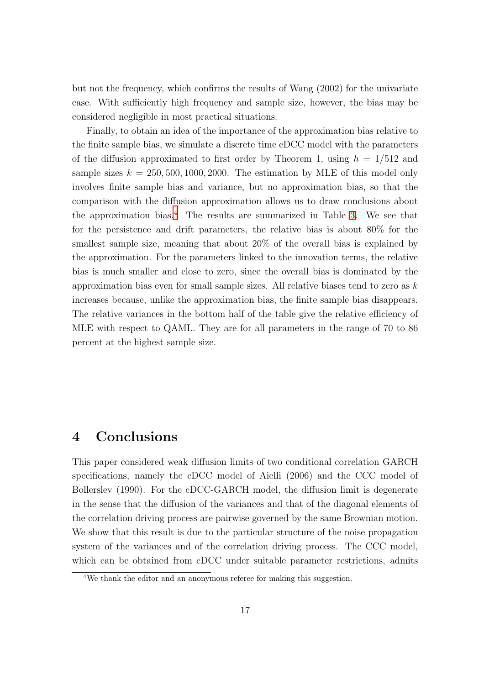but not the frequency, which confirms the results of Wang (2002) for the univariate case. With sufficiently high frequency and sample size, however, the bias may be considered negligible in most practical situations.

Finally, to obtain an idea of the importance of the approximation bias relative to the finite sample bias, we simulate a discrete time cDCC model with the parameters of the diffusion approximated to first order by Theorem 1, using  $h = 1/512$  and sample sizes  $k = 250, 500, 1000, 2000$ . The estimation by MLE of this model only involves finite sample bias and variance, but no approximation bias, so that the comparison with the diffusion approximation allows us to draw conclusions about the approximation bias.<sup>[4](#page-16-1)</sup> The results are summarized in Table [3.](#page-19-0) We see that for the persistence and drift parameters, the relative bias is about 80% for the smallest sample size, meaning that about 20% of the overall bias is explained by the approximation. For the parameters linked to the innovation terms, the relative bias is much smaller and close to zero, since the overall bias is dominated by the approximation bias even for small sample sizes. All relative biases tend to zero as  $k$ increases because, unlike the approximation bias, the finite sample bias disappears. The relative variances in the bottom half of the table give the relative efficiency of MLE with respect to QAML. They are for all parameters in the range of 70 to 86 percent at the highest sample size.

## <span id="page-16-0"></span>4 Conclusions

This paper considered weak diffusion limits of two conditional correlation GARCH specifications, namely the cDCC model of Aielli (2006) and the CCC model of Bollerslev (1990). For the cDCC-GARCH model, the diffusion limit is degenerate in the sense that the diffusion of the variances and that of the diagonal elements of the correlation driving process are pairwise governed by the same Brownian motion. We show that this result is due to the particular structure of the noise propagation system of the variances and of the correlation driving process. The CCC model, which can be obtained from cDCC under suitable parameter restrictions, admits

<span id="page-16-1"></span><sup>4</sup>We thank the editor and an anonymous referee for making this suggestion.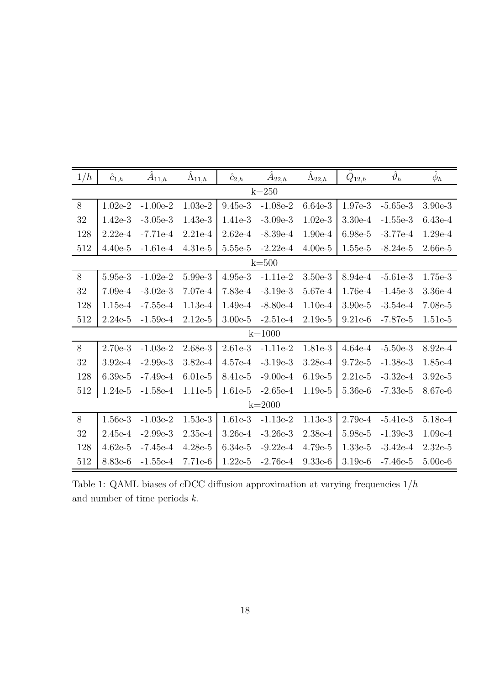| 1/h        | $\hat c_{1,\underline{h}}$ | $A_{11,h}$ | $\tilde{\Lambda}_{11,h}$ | $\hat{c}_{2,\underline{h}}$ | $A_{22,h}$ | $\Lambda_{22,\underline{h}}$ | $\bar{Q}_{12,h}$ | $\hat{\vartheta}_h$ | $\hat{\phi}_h$ |  |
|------------|----------------------------|------------|--------------------------|-----------------------------|------------|------------------------------|------------------|---------------------|----------------|--|
| $k=250$    |                            |            |                          |                             |            |                              |                  |                     |                |  |
| $8\,$      | $1.02e-2$                  | $-1.00e-2$ | $1.03e-2$                | $9.45e-3$                   | $-1.08e-2$ | $6.64e-3$                    | 1.97e-3          | $-5.65e-3$          | $3.90e-3$      |  |
| 32         | $1.42e-3$                  | $-3.05e-3$ | 1.43e-3                  | 1.41e-3                     | $-3.09e-3$ | $1.02e-3$                    | $3.30e-4$        | $-1.55e-3$          | $6.43e-4$      |  |
| 128        | $2.22e-4$                  | $-7.71e-4$ | $2.21e-4$                | $2.62e-4$                   | $-8.39e-4$ | 1.90e-4                      | 6.98e-5          | $-3.77e-4$          | 1.29e-4        |  |
| 512        | $4.40e-5$                  | $-1.61e-4$ | $4.31e-5$                | 5.55e-5                     | $-2.22e-4$ | $4.00e-5$                    | $1.55e-5$        | $-8.24e-5$          | $2.66e-5$      |  |
| $k=500$    |                            |            |                          |                             |            |                              |                  |                     |                |  |
| 8          | 5.95e-3                    | $-1.02e-2$ | 5.99e-3                  | $4.95e-3$                   | $-1.11e-2$ | $3.50e-3$                    | 8.94e-4          | $-5.61e-3$          | 1.75e-3        |  |
| 32         | $7.09e-4$                  | $-3.02e-3$ | 7.07e-4                  | $7.83e-4$                   | $-3.19e-3$ | 5.67e-4                      | 1.76e-4          | $-1.45e-3$          | $3.36e-4$      |  |
| 128        | $1.15e-4$                  | $-7.55e-4$ | $1.13e-4$                | $1.49e-4$                   | $-8.80e-4$ | $1.10e-4$                    | $3.90e-5$        | $-3.54e-4$          | 7.08e-5        |  |
| 512        | $2.24e-5$                  | $-1.59e-4$ | $2.12e-5$                | $3.00e-5$                   | $-2.51e-4$ | $2.19e-5$                    | $9.21e-6$        | $-7.87e-5$          | 1.51e-5        |  |
| $k = 1000$ |                            |            |                          |                             |            |                              |                  |                     |                |  |
| 8          | $2.70e-3$                  | $-1.03e-2$ | $2.68e-3$                | 2.61e-3                     | $-1.11e-2$ | 1.81e-3                      | $4.64e-4$        | $-5.50e-3$          | 8.92e-4        |  |
| 32         | $3.92e-4$                  | $-2.99e-3$ | $3.82e-4$                | $4.57e-4$                   | $-3.19e-3$ | $3.28e-4$                    | $9.72e-5$        | $-1.38e-3$          | 1.85e-4        |  |
| 128        | $6.39e-5$                  | $-7.49e-4$ | $6.01e-5$                | 8.41e-5                     | $-9.00e-4$ | $6.19e-5$                    | $2.21e-5$        | $-3.32e-4$          | $3.92e-5$      |  |
| 512        | 1.24e-5                    | $-1.58e-4$ | 1.11e-5                  | 1.61e-5                     | $-2.65e-4$ | $1.19e-5$                    | 5.36e-6          | $-7.33e-5$          | 8.67e-6        |  |
| $k = 2000$ |                            |            |                          |                             |            |                              |                  |                     |                |  |
| 8          | 1.56e-3                    | $-1.03e-2$ | $1.53e-3$                | 1.61e-3                     | $-1.13e-2$ | $1.13e-3$                    | $2.79e-4$        | $-5.41e-3$          | 5.18e-4        |  |
| 32         | 2.45e-4                    | $-2.99e-3$ | $2.35e-4$                | 3.26e-4                     | $-3.26e-3$ | $2.38e-4$                    | 5.98e-5          | $-1.39e-3$          | $1.09e-4$      |  |
| 128        | $4.62e-5$                  | $-7.45e-4$ | $4.28e-5$                | $6.34e-5$                   | $-9.22e-4$ | 4.79e-5                      | $1.33e-5$        | $-3.42e-4$          | $2.32e-5$      |  |
| 512        | 8.83e-6                    | $-1.55e-4$ | 7.71e-6                  | $1.22e-5$                   | $-2.76e-4$ | $9.33e-6$                    | $3.19e-6$        | $-7.46e-5$          | $5.00e-6$      |  |

<span id="page-17-0"></span>Table 1: QAML biases of cDCC diffusion approximation at varying frequencies  $1/h$ and number of time periods  $k$ .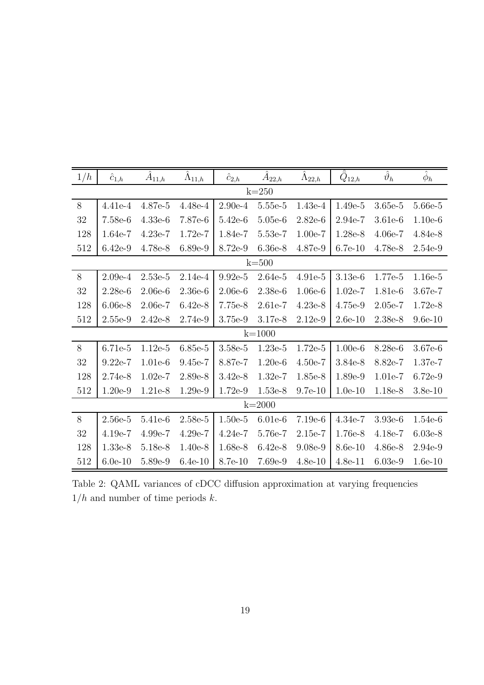| 1/h        | $\hat c_{1,\underline{h}}$ | $A_{11,h}$ | $\Lambda_{11,\underline{h}}$ | $\hat c_{2,\underline{h}}$ | $A_{22,h}$ | $\Lambda_{22,h}$ | $Q_{12,h}$ | $\hat{\vartheta}_h$ | $\hat{\phi}_h$ |  |  |
|------------|----------------------------|------------|------------------------------|----------------------------|------------|------------------|------------|---------------------|----------------|--|--|
| $k=250$    |                            |            |                              |                            |            |                  |            |                     |                |  |  |
| 8          | 4.41e-4                    | 4.87e-5    | 4.48e-4                      | $2.90e-4$                  | 5.55e-5    | 1.43e-4          | 1.49e-5    | 3.65e-5             | 5.66e-5        |  |  |
| $32\,$     | 7.58e-6                    | $4.33e-6$  | 7.87e-6                      | 5.42e-6                    | 5.05e-6    | $2.82e-6$        | 2.94e-7    | 3.61e-6             | $1.10e-6$      |  |  |
| 128        | 1.64e-7                    | $4.23e-7$  | 1.72e-7                      | 1.84e-7                    | 5.53e-7    | $1.00e-7$        | $1.28e-8$  | 4.06e-7             | 4.84e-8        |  |  |
| 512        | $6.42e-9$                  | 4.78e-8    | 6.89e-9                      | 8.72e-9                    | $6.36e-8$  | 4.87e-9          | $6.7e-10$  | 4.78e-8             | 2.54e-9        |  |  |
| $k=500$    |                            |            |                              |                            |            |                  |            |                     |                |  |  |
| $8\,$      | $2.09e-4$                  | $2.53e-5$  | 2.14e-4                      | $9.92e-5$                  | $2.64e-5$  | $4.91e-5$        | $3.13e-6$  | 1.77e-5             | 1.16e-5        |  |  |
| $32\,$     | $2.28e-6$                  | $2.06e-6$  | $2.36e-6$                    | $2.06e-6$                  | $2.38e-6$  | $1.06e-6$        | $1.02e-7$  | 1.81e-6             | 3.67e-7        |  |  |
| 128        | $6.06e-8$                  | $2.06e-7$  | $6.42e-8$                    | 7.75e-8                    | 2.61e-7    | $4.23e-8$        | 4.75e-9    | $2.05e-7$           | 1.72e-8        |  |  |
| 512        | 2.55e-9                    | $2.42e-8$  | 2.74e-9                      | 3.75e-9                    | 3.17e-8    | $2.12e-9$        | $2.6e-10$  | 2.38e-8             | $9.6e-10$      |  |  |
| $k = 1000$ |                            |            |                              |                            |            |                  |            |                     |                |  |  |
| 8          | 6.71e-5                    | $1.12e-5$  | $6.85e-5$                    | $3.58e-5$                  | $1.23e-5$  | 1.72e-5          | $1.00e-6$  | 8.28e-6             | 3.67e-6        |  |  |
| 32         | $9.22e-7$                  | $1.01e-6$  | 9.45e-7                      | 8.87e-7                    | $1.20e-6$  | $4.50e-7$        | $3.84e-8$  | 8.82e-7             | 1.37e-7        |  |  |
| 128        | 2.74e-8                    | $1.02e-7$  | 2.89e-8                      | $3.42e-8$                  | 1.32e-7    | 1.85e-8          | 1.89e-9    | 1.01e-7             | 6.72e-9        |  |  |
| 512        | $1.20e-9$                  | 1.21e-8    | 1.29e-9                      | 1.72e-9                    | 1.53e-8    | $9.7e-10$        | $1.0e-10$  | 1.18e-8             | $3.8e-10$      |  |  |
| $k = 2000$ |                            |            |                              |                            |            |                  |            |                     |                |  |  |
| 8          | $2.56e-5$                  | 5.41e-6    | 2.58e-5                      | $1.50e-5$                  | $6.01e-6$  | $7.19e-6$        | $4.34e-7$  | $3.93e-6$           | 1.54e-6        |  |  |
| 32         | $4.19e-7$                  | 4.99e-7    | $4.29e-7$                    | $4.24e-7$                  | 5.76e-7    | 2.15e-7          | 1.76e-8    | 4.18e-7             | $6.03e-8$      |  |  |
| 128        | 1.33e-8                    | 5.18e-8    | $1.40e-8$                    | 1.68e-8                    | $6.42e-8$  | $9.08e-9$        | 8.6e-10    | 4.86e-8             | 2.94e-9        |  |  |
| 512        | $6.0e-10$                  | 5.89e-9    | $6.4e-10$                    | 8.7e-10                    | 7.69e-9    | $4.8e-10$        | $4.8e-11$  | $6.03e-9$           | $1.6e-10$      |  |  |

<span id="page-18-0"></span>Table 2: QAML variances of cDCC diffusion approximation at varying frequencies  $1/h$  and number of time periods  $k.$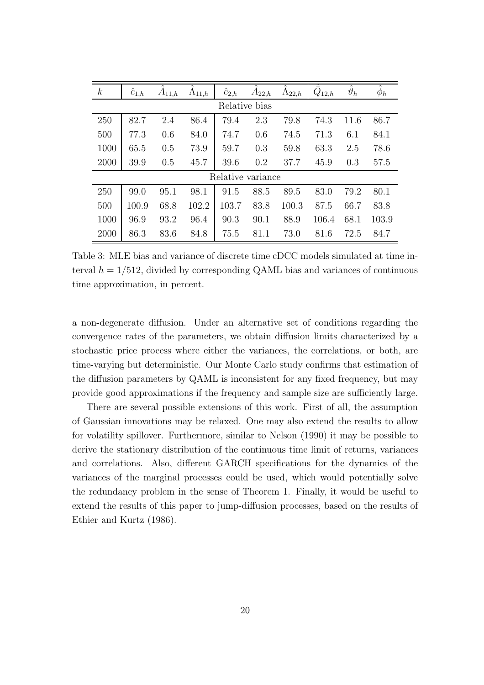| $\boldsymbol{k}$  | $c_{1,h}$ | $A_{11,h}$ | $\Lambda_{11,h}$ | $c_{2,h}$ | $A_{22,h}$ | $\Lambda_{22,h}$ | $\bar{Q}_{12,h}$ | $\hat{\vartheta}_h$ | $\phi_h$ |  |  |
|-------------------|-----------|------------|------------------|-----------|------------|------------------|------------------|---------------------|----------|--|--|
| Relative bias     |           |            |                  |           |            |                  |                  |                     |          |  |  |
| 250               | 82.7      | 2.4        | 86.4             | 79.4      | 2.3        | 79.8             | 74.3             | 11.6                | 86.7     |  |  |
| 500               | 77.3      | 0.6        | 84.0             | 74.7      | 0.6        | 74.5             | 71.3             | 6.1                 | 84.1     |  |  |
| 1000              | 65.5      | 0.5        | 73.9             | 59.7      | 0.3        | 59.8             | 63.3             | 2.5                 | 78.6     |  |  |
| 2000              | 39.9      | 0.5        | 45.7             | 39.6      | 0.2        | 37.7             | 45.9             | 0.3                 | 57.5     |  |  |
| Relative variance |           |            |                  |           |            |                  |                  |                     |          |  |  |
| 250               | 99.0      | 95.1       | 98.1             | 91.5      | 88.5       | 89.5             | 83.0             | 79.2                | 80.1     |  |  |
| 500               | 100.9     | 68.8       | 102.2            | 103.7     | 83.8       | 100.3            | 87.5             | 66.7                | 83.8     |  |  |
| 1000              | 96.9      | 93.2       | 96.4             | 90.3      | 90.1       | 88.9             | 106.4            | 68.1                | 103.9    |  |  |
| 2000              | 86.3      | 83.6       | 84.8             | 75.5      | 81.1       | 73.0             | 81.6             | 72.5                | 84.7     |  |  |

<span id="page-19-0"></span>Table 3: MLE bias and variance of discrete time cDCC models simulated at time interval  $h = 1/512$ , divided by corresponding QAML bias and variances of continuous time approximation, in percent.

a non-degenerate diffusion. Under an alternative set of conditions regarding the convergence rates of the parameters, we obtain diffusion limits characterized by a stochastic price process where either the variances, the correlations, or both, are time-varying but deterministic. Our Monte Carlo study confirms that estimation of the diffusion parameters by QAML is inconsistent for any fixed frequency, but may provide good approximations if the frequency and sample size are sufficiently large.

There are several possible extensions of this work. First of all, the assumption of Gaussian innovations may be relaxed. One may also extend the results to allow for volatility spillover. Furthermore, similar to Nelson (1990) it may be possible to derive the stationary distribution of the continuous time limit of returns, variances and correlations. Also, different GARCH specifications for the dynamics of the variances of the marginal processes could be used, which would potentially solve the redundancy problem in the sense of Theorem 1. Finally, it would be useful to extend the results of this paper to jump-diffusion processes, based on the results of Ethier and Kurtz (1986).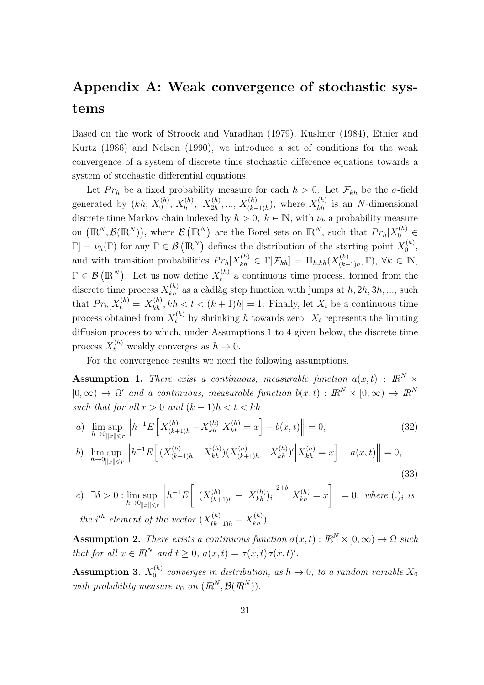## Appendix A: Weak convergence of stochastic systems

Based on the work of Stroock and Varadhan (1979), Kushner (1984), Ethier and Kurtz (1986) and Nelson (1990), we introduce a set of conditions for the weak convergence of a system of discrete time stochastic difference equations towards a system of stochastic differential equations.

Let  $Pr_h$  be a fixed probability measure for each  $h > 0$ . Let  $\mathcal{F}_{kh}$  be the  $\sigma$ -field generated by  $(kh, X_0^{(h)}, X_h^{(h)}, X_{2h}^{(h)}, ..., X_{(k-1)h}^{(h)})$ , where  $X_{kh}^{(h)}$  is an N-dimensional discrete time Markov chain indexed by  $h > 0$ ,  $k \in \mathbb{N}$ , with  $\nu_h$  a probability measure on  $(\mathbb{R}^N, \mathcal{B}(\mathbb{R}^N))$ , where  $\mathcal{B}(\mathbb{R}^N)$  are the Borel sets on  $\mathbb{R}^N$ , such that  $Pr_h[X_0^{(h)}] \in$  $[\Gamma] = \nu_h(\Gamma)$  for any  $\Gamma \in \mathcal{B}(\mathbb{R}^N)$  defines the distribution of the starting point  $X_0^{(h)}$  $\binom{n}{0}$ , and with transition probabilities  $Pr_h[X_{kh}^{(h)} \in \Gamma | \mathcal{F}_{kh}] = \Pi_{h,kh}(X_{(k-1)}^{(h)})$  $(\binom{n}{k-1}h, \Gamma), \forall k \in \mathbb{N},$  $\Gamma \in \mathcal{B}(\mathbb{R}^N)$ . Let us now define  $X_t^{(h)}$  a continuous time process, formed from the discrete time process  $X_{kh}^{(h)}$  as a càdlàg step function with jumps at  $h, 2h, 3h, ...,$  such that  $Pr_h[X_t^{(h)} = X_{kh}^{(h)}, kh < t < (k+1)h] = 1$ . Finally, let  $X_t$  be a continuous time process obtained from  $X_t^{(h)}$  by shrinking h towards zero.  $X_t$  represents the limiting diffusion process to which, under Assumptions 1 to 4 given below, the discrete time process  $X_t^{(h)}$  weakly converges as  $h \to 0$ .

<span id="page-20-1"></span><span id="page-20-0"></span>For the convergence results we need the following assumptions.

**Assumption 1.** There exist a continuous, measurable function  $a(x, t)$  :  $\mathbb{R}^N$  ×  $[0, \infty) \to \Omega'$  and a continuous, measurable function  $b(x, t) : \mathbb{R}^N \times [0, \infty) \to \mathbb{R}^N$ such that for all  $r > 0$  and  $(k - 1)h < t < kh$ 

a) 
$$
\lim_{h \to 0} \sup_{\|x\| \le r} \left\| h^{-1} E\left[ X^{(h)}_{(k+1)h} - X^{(h)}_{kh} \right] X^{(h)}_{kh} = x \right] - b(x, t) \right\| = 0,
$$
 (32)

<span id="page-20-2"></span>
$$
b) \lim_{h \to 0} \sup_{\|x\| \le r} \left\| h^{-1} E\left[ (X^{(h)}_{(k+1)h} - X^{(h)}_{kh}) (X^{(h)}_{(k+1)h} - X^{(h)}_{kh})' \Big| X^{(h)}_{kh} = x \right] - a(x, t) \right\| = 0,
$$
\n(33)

c) 
$$
\exists \delta > 0
$$
:  $\lim_{h \to 0} \sup_{\|x\| \le r} \left\| h^{-1} E\left[ \left| (X_{(k+1)h}^{(h)} - X_{kh}^{(h)})_i \right|^{2+\delta} \right| X_{kh}^{(h)} = x \right] \right\| = 0$ , where (.)<sub>i</sub> is the *i*<sup>th</sup> element of the vector  $(X_{(k+1)h}^{(h)} - X_{kh}^{(h)})$ .

**Assumption 2.** There exists a continuous function  $\sigma(x, t) : \mathbb{R}^N \times [0, \infty) \to \Omega$  such that for all  $x \in \mathbb{R}^N$  and  $t \geq 0$ ,  $a(x,t) = \sigma(x,t)\sigma(x,t)'$ .

Assumption 3.  $X_0^{(h)}$  $a_0^{(n)}$  converges in distribution, as  $h \to 0$ , to a random variable  $X_0$ with probability measure  $\nu_0$  on  $(\mathbb{R}^N, \mathcal{B}(\mathbb{R}^N))$ .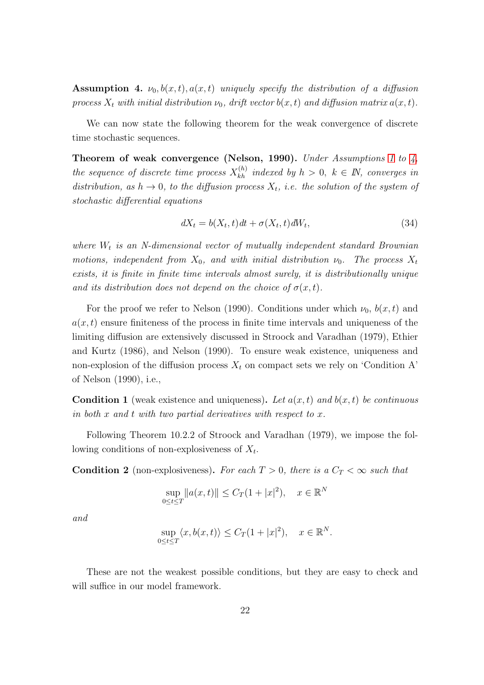<span id="page-21-0"></span>**Assumption 4.**  $\nu_0, b(x, t), a(x, t)$  uniquely specify the distribution of a diffusion process  $X_t$  with initial distribution  $\nu_0$ , drift vector  $b(x, t)$  and diffusion matrix  $a(x, t)$ .

We can now state the following theorem for the weak convergence of discrete time stochastic sequences.

Theorem of weak convergence (Nelson, [1](#page-20-0)990). Under Assumptions 1 to  $\lambda$ , the sequence of discrete time process  $X_{kh}^{(h)}$  indexed by  $h > 0, k \in \mathbb{N}$ , converges in distribution, as  $h \to 0$ , to the diffusion process  $X_t$ , i.e. the solution of the system of stochastic differential equations

$$
dX_t = b(X_t, t)dt + \sigma(X_t, t)dW_t,
$$
\n(34)

where  $W_t$  is an N-dimensional vector of mutually independent standard Brownian motions, independent from  $X_0$ , and with initial distribution  $\nu_0$ . The process  $X_t$ exists, it is finite in finite time intervals almost surely, it is distributionally unique and its distribution does not depend on the choice of  $\sigma(x,t)$ .

For the proof we refer to Nelson (1990). Conditions under which  $\nu_0$ ,  $b(x, t)$  and  $a(x, t)$  ensure finiteness of the process in finite time intervals and uniqueness of the limiting diffusion are extensively discussed in Stroock and Varadhan (1979), Ethier and Kurtz (1986), and Nelson (1990). To ensure weak existence, uniqueness and non-explosion of the diffusion process  $X_t$  on compact sets we rely on 'Condition A' of Nelson (1990), i.e.,

<span id="page-21-1"></span>**Condition 1** (weak existence and uniqueness). Let  $a(x, t)$  and  $b(x, t)$  be continuous in both x and t with two partial derivatives with respect to x.

<span id="page-21-2"></span>Following Theorem 10.2.2 of Stroock and Varadhan (1979), we impose the following conditions of non-explosiveness of  $X_t$ .

**Condition 2** (non-explosiveness). For each  $T > 0$ , there is a  $C_T < \infty$  such that

$$
\sup_{0 \le t \le T} \|a(x, t)\| \le C_T (1 + |x|^2), \quad x \in \mathbb{R}^N
$$

and

$$
\sup_{0 \le t \le T} \langle x, b(x, t) \rangle \le C_T (1 + |x|^2), \quad x \in \mathbb{R}^N.
$$

These are not the weakest possible conditions, but they are easy to check and will suffice in our model framework.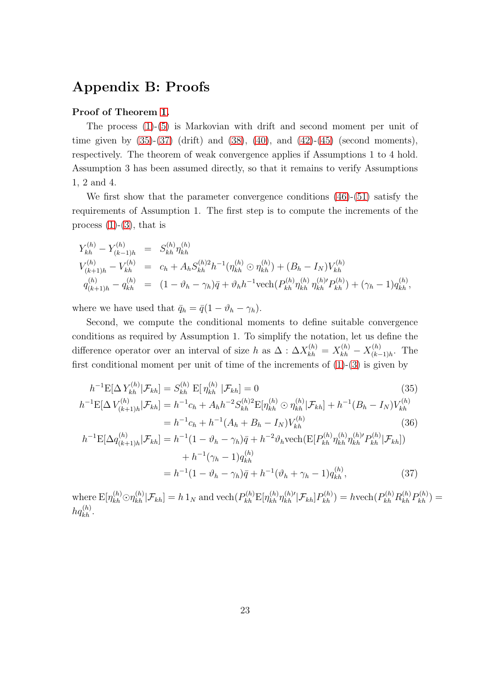## Appendix B: Proofs

### Proof of Theorem [1.](#page-6-4)

The process [\(1\)](#page-5-2)-[\(5\)](#page-5-4) is Markovian with drift and second moment per unit of time given by  $(35)-(37)$  $(35)-(37)$  (drift) and  $(38)$ ,  $(40)$ , and  $(42)-(45)$  $(42)-(45)$  (second moments), respectively. The theorem of weak convergence applies if Assumptions 1 to 4 hold. Assumption 3 has been assumed directly, so that it remains to verify Assumptions 1, 2 and 4.

We first show that the parameter convergence conditions [\(46\)](#page-24-1)-[\(51\)](#page-24-2) satisfy the requirements of Assumption 1. The first step is to compute the increments of the process  $(1)-(3)$  $(1)-(3)$ , that is

$$
Y_{kh}^{(h)} - Y_{(k-1)h}^{(h)} = S_{kh}^{(h)} \eta_{kh}^{(h)}
$$
  
\n
$$
V_{(k+1)h}^{(h)} - V_{kh}^{(h)} = c_h + A_h S_{kh}^{(h)2} h^{-1} (\eta_{kh}^{(h)} \odot \eta_{kh}^{(h)}) + (B_h - I_N) V_{kh}^{(h)}
$$
  
\n
$$
q_{(k+1)h}^{(h)} - q_{kh}^{(h)} = (1 - \vartheta_h - \gamma_h) \bar{q} + \vartheta_h h^{-1} \text{vech} (P_{kh}^{(h)} \eta_{kh}^{(h)} \eta_{kh}^{(h')} P_{kh}^{(h)}) + (\gamma_h - 1) q_{kh}^{(h)},
$$

where we have used that  $\bar{q}_h = \bar{q}(1 - \vartheta_h - \gamma_h)$ .

Second, we compute the conditional moments to define suitable convergence conditions as required by Assumption 1. To simplify the notation, let us define the difference operator over an interval of size h as  $\Delta$  :  $\Delta X_{kh}^{(h)} = X_{kh}^{(h)} - X_{(k-h)}^{(h)}$  $\prod_{(k-1)h}^{(h)}$ . The first conditional moment per unit of time of the increments of  $(1)-(3)$  $(1)-(3)$  is given by

<span id="page-22-0"></span>
$$
h^{-1}\mathbf{E}[\Delta Y_{kh}^{(h)}|\mathcal{F}_{kh}] = S_{kh}^{(h)} \mathbf{E}[\eta_{kh}^{(h)}|\mathcal{F}_{kh}] = 0
$$
(35)  
\n
$$
h^{-1}\mathbf{E}[\Delta V_{(k+1)h}^{(h)}|\mathcal{F}_{kh}] = h^{-1}c_h + A_h h^{-2} S_{kh}^{(h)2} \mathbf{E}[\eta_{kh}^{(h)} \odot \eta_{kh}^{(h)}|\mathcal{F}_{kh}] + h^{-1}(B_h - I_N)V_{kh}^{(h)}
$$
  
\n
$$
= h^{-1}c_h + h^{-1}(A_h + B_h - I_N)V_{kh}^{(h)}
$$
(36)  
\n
$$
h^{-1}\mathbf{E}[\Delta q_{(k+1)h}^{(h)}|\mathcal{F}_{kh}] = h^{-1}(1 - \vartheta_h - \gamma_h)\bar{q} + h^{-2}\vartheta_h \text{vech}(\mathbf{E}[P_{kh}^{(h)}\eta_{kh}^{(h)}\eta_{kh}^{(h)}| \mathcal{F}_{kh}])
$$
  
\n
$$
+ h^{-1}(\gamma_h - 1)q_{kh}^{(h)}
$$
  
\n
$$
= h^{-1}(1 - \vartheta_h - \gamma_h)\bar{q} + h^{-1}(\vartheta_h + \gamma_h - 1)q_{kh}^{(h)},
$$
(37)

<span id="page-22-1"></span>where  $E[\eta_{kh}^{(h)} \odot \eta_{kh}^{(h)} | \mathcal{F}_{kh}] = h 1_N$  and  $\text{vech}(P_{kh}^{(h)} E[\eta_{kh}^{(h)} \eta_{kh}^{(h)} | \mathcal{F}_{kh}] P_{kh}^{(h)}) = h \text{vech}(P_{kh}^{(h)} R_{kh}^{(h)} P_{kh}^{(h)}) =$  $hq_{kh}^{(h)}$ .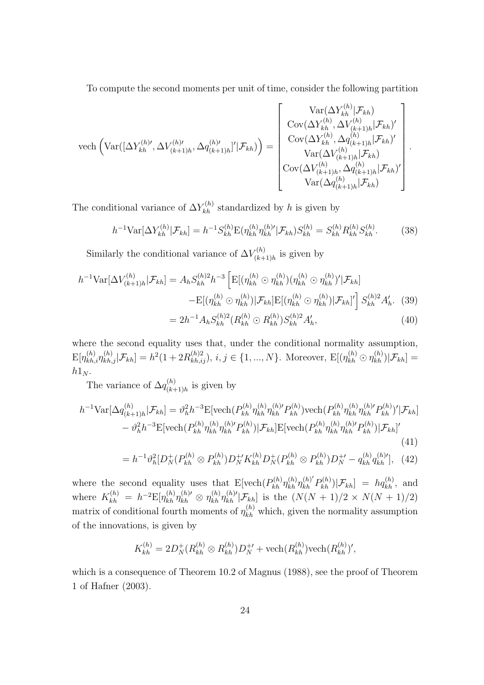To compute the second moments per unit of time, consider the following partition

$$
\text{vech}\left(\text{Var}([\Delta Y_{kh}^{(h)}, \Delta V_{(k+1)h}^{(h)}, \Delta q_{(k+1)h}^{(h)})'|\mathcal{F}_{kh})\right) = \begin{bmatrix} \text{Var}(\Delta Y_{kh}^{(h)}|\mathcal{F}_{kh}) \\ \text{Cov}(\Delta Y_{kh}^{(h)}, \Delta V_{(k+1)h}^{(h)}|\mathcal{F}_{kh})' \\ \text{Cov}(\Delta Y_{kh}^{(h)}, \Delta q_{(k+1)h}^{(h)}|\mathcal{F}_{kh})' \\ \text{Var}(\Delta V_{(k+1)h}^{(h)}, \Delta q_{(k+1)h}^{(h)}|\mathcal{F}_{kh})' \\ \text{Var}(\Delta q_{(k+1)h}^{(h)}|\mathcal{F}_{kh})' \\ \text{Var}(\Delta q_{(k+1)h}^{(h)}|\mathcal{F}_{kh})' \end{bmatrix}
$$

The conditional variance of  $\Delta Y_{kh}^{(h)}$  standardized by h is given by

$$
h^{-1} \text{Var}[\Delta Y_{kh}^{(h)} | \mathcal{F}_{kh}] = h^{-1} S_{kh}^{(h)} \text{E}(\eta_{kh}^{(h)} \eta_{kh}^{(h)'} | \mathcal{F}_{kh}) S_{kh}^{(h)} = S_{kh}^{(h)} R_{kh}^{(h)} S_{kh}^{(h)}.
$$
 (38)

<span id="page-23-1"></span><span id="page-23-0"></span>.

Similarly the conditional variance of  $\Delta V_{(k+1)}^{(h)}$  $\zeta^{(h)}_{(k+1)h}$  is given by

$$
h^{-1} \text{Var}[\Delta V_{(k+1)h}^{(h)} | \mathcal{F}_{kh}] = A_h S_{kh}^{(h)2} h^{-3} \left[ \mathbb{E}[(\eta_{kh}^{(h)} \odot \eta_{kh}^{(h)}) (\eta_{kh}^{(h)} \odot \eta_{kh}^{(h)})' | \mathcal{F}_{kh}] - \mathbb{E}[(\eta_{kh}^{(h)} \odot \eta_{kh}^{(h)}) | \mathcal{F}_{kh}] \mathbb{E}[(\eta_{kh}^{(h)} \odot \eta_{kh}^{(h)}) | \mathcal{F}_{kh}]' \right] S_{kh}^{(h)2} A_h'.
$$
 (39)  

$$
= 2h^{-1} A_h S_{kh}^{(h)2} (R_{kh}^{(h)} \odot R_{kh}^{(h)}) S_{kh}^{(h)2} A_h', \tag{40}
$$

where the second equality uses that, under the conditional normality assumption,  $\mathbb{E}[\eta_{kh,i}^{(h)}\eta_{kh,j}^{(h)}|\mathcal{F}_{kh}] = h^2(1+2R_{kh,ij}^{(h)2}), i,j \in \{1,...,N\}$ . Moreover,  $\mathbb{E}[(\eta_{kh}^{(h)} \odot \eta_{kh}^{(h)})|\mathcal{F}_{kh}] =$  $h1_N$ .

The variance of  $\Delta q_{(k+1)}^{(h)}$  $\binom{n}{(k+1)h}$  is given by

$$
h^{-1} \text{Var}[\Delta q_{(k+1)h}^{(h)} | \mathcal{F}_{kh}] = \vartheta_h^2 h^{-3} \mathbb{E}[\text{vech}(P_{kh}^{(h)} \eta_{kh}^{(h)} P_{kh}^{(h)}) \text{vech}(P_{kh}^{(h)} \eta_{kh}^{(h)} P_{kh}^{(h)})' | \mathcal{F}_{kh}] - \vartheta_h^2 h^{-3} \mathbb{E}[\text{vech}(P_{kh}^{(h)} \eta_{kh}^{(h)} P_{kh}) | \mathcal{F}_{kh}] \mathbb{E}[\text{vech}(P_{kh}^{(h)} \eta_{kh}^{(h)} P_{kh}^{(h)}) | \mathcal{F}_{kh}]' \tag{41}
$$

<span id="page-23-2"></span>
$$
= h^{-1}\partial_h^2[D_N^+(P_{kh}^{(h)} \otimes P_{kh}^{(h)})D_N^+K_{kh}^{(h)}D_N^+(P_{kh}^{(h)} \otimes P_{kh}^{(h)})D_N^{+\prime} - q_{kh}^{(h)}q_{kh}^{(h)'}], \quad (42)
$$

where the second equality uses that  $E[\text{vech}(P_{kh}^{(h)} \eta_{kh}^{(h)} \eta_{kh}^{(h)'} P_{kh}^{(h)}) | \mathcal{F}_{kh}] = hq_{kh}^{(h)}$ , and where  $K_{kh}^{(h)} = h^{-2} \mathbb{E}[\eta_{kh}^{(h)} \eta_{kh}^{(h)'} \otimes \eta_{kh}^{(h)} \eta_{kh}^{(h)'} | \mathcal{F}_{kh}]$  is the  $(N(N+1)/2 \times N(N+1)/2)$ matrix of conditional fourth moments of  $\eta_{kh}^{(h)}$  which, given the normality assumption of the innovations, is given by

$$
K_{kh}^{(h)} = 2D_N^+(R_{kh}^{(h)} \otimes R_{kh}^{(h)})D_N^{+'} + \text{vech}(R_{kh}^{(h)})\text{vech}(R_{kh}^{(h)})',
$$

which is a consequence of Theorem 10.2 of Magnus (1988), see the proof of Theorem 1 of Hafner (2003).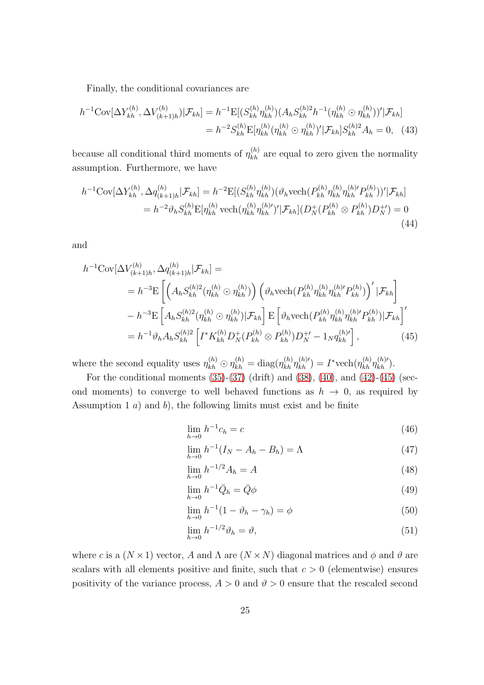Finally, the conditional covariances are

$$
h^{-1} \text{Cov}[\Delta Y_{kh}^{(h)}, \Delta V_{(k+1)h}^{(h)}) | \mathcal{F}_{kh}] = h^{-1} \text{E}[(S_{kh}^{(h)} \eta_{kh}^{(h)}) (A_h S_{kh}^{(h)2} h^{-1} (\eta_{kh}^{(h)} \odot \eta_{kh}^{(h)})' | \mathcal{F}_{kh}]
$$
  
=  $h^{-2} S_{kh}^{(h)} \text{E}[\eta_{kh}^{(h)} (\eta_{kh}^{(h)} \odot \eta_{kh}^{(h)})' | \mathcal{F}_{kh}] S_{kh}^{(h)2} A_h = 0,$  (43)

because all conditional third moments of  $\eta_{kh}^{(h)}$  are equal to zero given the normality assumption. Furthermore, we have

$$
h^{-1} \text{Cov}[\Delta Y_{kh}^{(h)}, \Delta q_{(k+1)h}^{(h)} | \mathcal{F}_{kh}] = h^{-2} \text{E}[(S_{kh}^{(h)} \eta_{kh}^{(h)}) (\vartheta_h \text{vech}(P_{kh}^{(h)} \eta_{kh}^{(h)} \eta_{kh}^{(h)})' | \mathcal{F}_{kh}]
$$
  
=  $h^{-2} \vartheta_h S_{kh}^{(h)} \text{E}[\eta_{kh}^{(h)} \text{vech}(\eta_{kh}^{(h)} \eta_{kh}^{(h)})' | \mathcal{F}_{kh}] (D_N^+(P_{kh}^{(h)} \otimes P_{kh}^{(h)}) D_N^{+}) = 0$   
(44)

and

$$
h^{-1} \text{Cov}[\Delta V_{(k+1)h}^{(h)}, \Delta q_{(k+1)h}^{(h)} | \mathcal{F}_{kh}] =
$$
  
\n
$$
= h^{-3} \text{E}\left[ \left( A_h S_{kh}^{(h)}^2 (\eta_{kh}^{(h)} \odot \eta_{kh}^{(h)}) \right) \left( \vartheta_h \text{vech}(P_{kh}^{(h)} \eta_{kh}^{(h)} P_{kh}^{(h)}) \right)' | \mathcal{F}_{kh} \right]
$$
  
\n
$$
- h^{-3} \text{E}\left[ A_h S_{kh}^{(h)2} (\eta_{kh}^{(h)} \odot \eta_{kh}^{(h)}) | \mathcal{F}_{kh} \right] \text{E}\left[ \vartheta_h \text{vech}(P_{kh}^{(h)} \eta_{kh}^{(h)} P_{kh}^{(h)}) | \mathcal{F}_{kh} \right]'
$$
  
\n
$$
= h^{-1} \vartheta_h A_h S_{kh}^{(h)2} \left[ I^* K_{kh}^{(h)} D_N^+ (P_{kh}^{(h)} \otimes P_{kh}^{(h)}) D_N^{+'} - 1_N q_{kh}^{(h)'} \right], \tag{45}
$$

where the second equality uses  $\eta_{kh}^{(h)} \odot \eta_{kh}^{(h)} = \text{diag}(\eta_{kh}^{(h)} \eta_{kh}^{(h)'}) = I^* \text{vech}(\eta_{kh}^{(h)} \eta_{kh}^{(h)'}).$ 

For the conditional moments  $(35)-(37)$  $(35)-(37)$  (drift) and  $(38)$ ,  $(40)$ , and  $(42)-(45)$  $(42)-(45)$  (second moments) to converge to well behaved functions as  $h \to 0$ , as required by Assumption 1  $a$ ) and  $b$ ), the following limits must exist and be finite

<span id="page-24-1"></span><span id="page-24-0"></span>
$$
\lim_{h \to 0} h^{-1} c_h = c \tag{46}
$$

$$
\lim_{h \to 0} h^{-1}(I_N - A_h - B_h) = \Lambda \tag{47}
$$

$$
\lim_{h \to 0} h^{-1/2} A_h = A \tag{48}
$$

$$
\lim_{h \to 0} h^{-1} \bar{Q}_h = \bar{Q} \phi \tag{49}
$$

$$
\lim_{h \to 0} h^{-1} (1 - \vartheta_h - \gamma_h) = \phi \tag{50}
$$

<span id="page-24-2"></span>
$$
\lim_{h \to 0} h^{-1/2} \vartheta_h = \vartheta,\tag{51}
$$

where c is a  $(N \times 1)$  vector, A and  $\Lambda$  are  $(N \times N)$  diagonal matrices and  $\phi$  and  $\vartheta$  are scalars with all elements positive and finite, such that  $c > 0$  (elementwise) ensures positivity of the variance process,  $A > 0$  and  $\vartheta > 0$  ensure that the rescaled second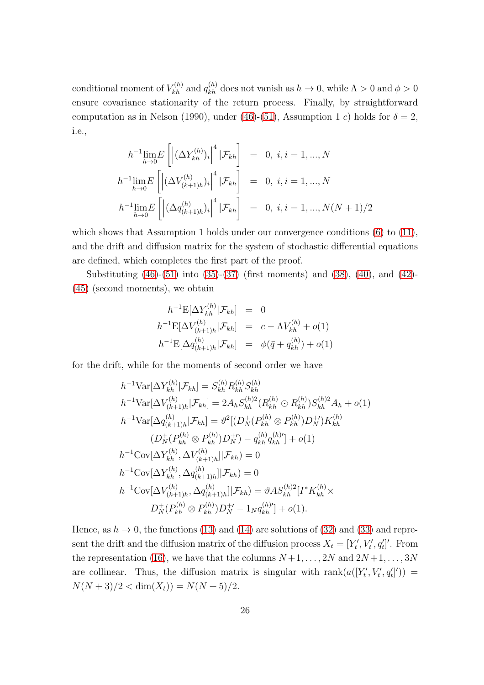conditional moment of  $V_{kh}^{(h)}$  and  $q_{kh}^{(h)}$  does not vanish as  $h \to 0$ , while  $\Lambda > 0$  and  $\phi > 0$ ensure covariance stationarity of the return process. Finally, by straightforward computation as in Nelson (1990), under [\(46\)](#page-24-1)-[\(51\)](#page-24-2), Assumption 1 c) holds for  $\delta = 2$ , i.e.,

$$
h^{-1} \lim_{h \to 0} E\left[ \left| (\Delta Y_{kh}^{(h)})_i \right|^4 | \mathcal{F}_{kh} \right] = 0, i, i = 1, ..., N
$$
  

$$
h^{-1} \lim_{h \to 0} E\left[ \left| (\Delta V_{(k+1)h}^{(h)})_i \right|^4 | \mathcal{F}_{kh} \right] = 0, i, i = 1, ..., N
$$
  

$$
h^{-1} \lim_{h \to 0} E\left[ \left| (\Delta q_{(k+1)h}^{(h)})_i \right|^4 | \mathcal{F}_{kh} \right] = 0, i, i = 1, ..., N(N+1)/2
$$

which shows that Assumption 1 holds under our convergence conditions [\(6\)](#page-6-1) to [\(11\)](#page-6-2), and the drift and diffusion matrix for the system of stochastic differential equations are defined, which completes the first part of the proof.

Substituting [\(46\)](#page-24-1)-[\(51\)](#page-24-2) into [\(35\)](#page-22-0)-[\(37\)](#page-22-1) (first moments) and [\(38\)](#page-23-0), [\(40\)](#page-23-1), and [\(42\)](#page-23-2)- [\(45\)](#page-24-0) (second moments), we obtain

$$
h^{-1} \mathbb{E}[\Delta Y_{kh}^{(h)} | \mathcal{F}_{kh}] = 0
$$
  
\n
$$
h^{-1} \mathbb{E}[\Delta V_{(k+1)h}^{(h)} | \mathcal{F}_{kh}] = c - \Lambda V_{kh}^{(h)} + o(1)
$$
  
\n
$$
h^{-1} \mathbb{E}[\Delta q_{(k+1)h}^{(h)} | \mathcal{F}_{kh}] = \phi(\bar{q} + q_{kh}^{(h)}) + o(1)
$$

for the drift, while for the moments of second order we have

$$
h^{-1} \text{Var}[\Delta Y_{kh}^{(h)} | \mathcal{F}_{kh}] = S_{kh}^{(h)} R_{kh}^{(h)} S_{kh}^{(h)}
$$
  
\n
$$
h^{-1} \text{Var}[\Delta V_{(k+1)h}^{(h)} | \mathcal{F}_{kh}] = 2A_h S_{kh}^{(h)2} (R_{kh}^{(h)} \odot R_{kh}^{(h)}) S_{kh}^{(h)2} A_h + o(1)
$$
  
\n
$$
h^{-1} \text{Var}[\Delta q_{(k+1)h}^{(h)} | \mathcal{F}_{kh}] = \vartheta^2 [(D_N^+(P_{kh}^{(h)} \otimes P_{kh}^{(h)}) D_N^+') K_{kh}^{(h)}
$$
  
\n
$$
(D_N^+(P_{kh}^{(h)} \otimes P_{kh}^{(h)}) D_N^+) - q_{kh}^{(h)} q_{kh}^{(h)'}] + o(1)
$$
  
\n
$$
h^{-1} \text{Cov}[\Delta Y_{kh}^{(h)}, \Delta V_{(k+1)h}^{(h)}] | \mathcal{F}_{kh}) = 0
$$
  
\n
$$
h^{-1} \text{Cov}[\Delta Y_{kh}^{(h)}, \Delta q_{(k+1)h}^{(h)}] | \mathcal{F}_{kh}) = \vartheta A S_{kh}^{(h)2} [I^* K_{kh}^{(h)} \times
$$
  
\n
$$
D_N^+(P_{kh}^{(h)} \otimes P_{kh}^{(h)}) D_N^+ - 1_N q_{kh}^{(h)'}] + o(1).
$$

Hence, as  $h \to 0$ , the functions [\(13\)](#page-7-0) and [\(14\)](#page-7-1) are solutions of [\(32\)](#page-20-1) and [\(33\)](#page-20-2) and represent the drift and the diffusion matrix of the diffusion process  $X_t = [Y'_t, V'_t, q'_t]'$ . From the representation [\(16\)](#page-9-2), we have that the columns  $N+1, \ldots, 2N$  and  $2N+1, \ldots, 3N$ are collinear. Thus, the diffusion matrix is singular with  $\text{rank}(a([Y'_t, V'_t, q'_t])) =$  $N(N+3)/2 < \dim(X_t) = N(N+5)/2.$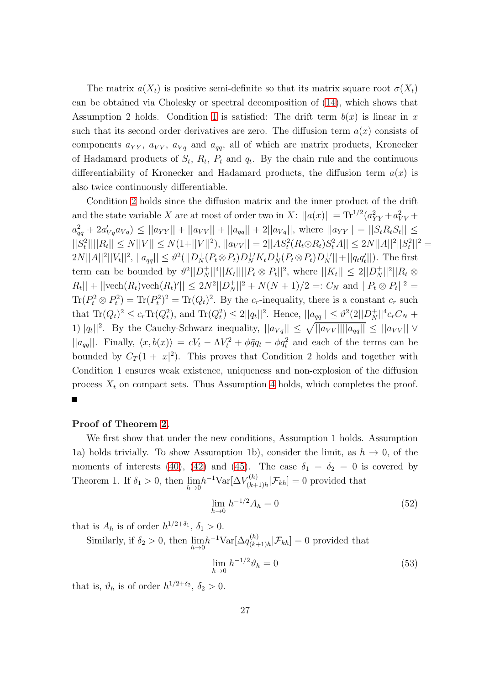The matrix  $a(X_t)$  is positive semi-definite so that its matrix square root  $\sigma(X_t)$ can be obtained via Cholesky or spectral decomposition of [\(14\)](#page-7-1), which shows that Assumption 2 holds. Condition [1](#page-21-1) is satisfied: The drift term  $b(x)$  is linear in x such that its second order derivatives are zero. The diffusion term  $a(x)$  consists of components  $a_{YY}$ ,  $a_{VV}$ ,  $a_{Vq}$  and  $a_{qq}$ , all of which are matrix products, Kronecker of Hadamard products of  $S_t$ ,  $R_t$ ,  $P_t$  and  $q_t$ . By the chain rule and the continuous differentiability of Kronecker and Hadamard products, the diffusion term  $a(x)$  is also twice continuously differentiable.

Condition [2](#page-21-2) holds since the diffusion matrix and the inner product of the drift and the state variable X are at most of order two in X:  $||a(x)|| = \text{Tr}^{1/2}(a_{YY}^2 + a_{VV}^2 + a_{VV}^2)$  $a_{qq}^2 + 2a'_{Vq}a_{Vq}$ )  $\leq ||a_{YY}|| + ||a_{VV}|| + ||a_{qq}|| + 2||a_{Vq}||$ , where  $||a_{YY}|| = ||S_tR_tS_t|| \leq$  $||S_t^2|| ||R_t|| \le N||V|| \le N(1+||V||^2), ||a_{VV}|| = 2||AS_t^2(R_t \odot R_t)S_t^2A|| \le 2N||A||^2||S_t^2||^2 =$  $2N||A||^2||V_t||^2$ ,  $||a_{qq}|| \leq \vartheta^2(||D_N^+(P_t \otimes P_t)D_N^+K_tD_N^+(P_t \otimes P_t)D_N^+||+||q_tq_t'||)$ . The first term can be bounded by  $\vartheta^2 ||D_N^+||^4 ||K_t|| ||P_t \otimes P_t||^2$ , where  $||K_t|| \leq 2||D_N^+||^2 ||R_t \otimes$  $|R_t|$  +  $||\text{vech}(R_t)\text{vech}(R_t)'|| \leq 2N^2||D_N^+||^2 + N(N+1)/2 =: C_N$  and  $||P_t \otimes P_t||^2 =$  $\text{Tr}(P_t^2 \otimes P_t^2) = \text{Tr}(P_t^2)^2 = \text{Tr}(Q_t)^2$ . By the c<sub>r</sub>-inequality, there is a constant c<sub>r</sub> such that  $\text{Tr}(Q_t)^2 \le c_r \text{Tr}(Q_t^2)$ , and  $\text{Tr}(Q_t^2) \le 2||q_t||^2$ . Hence,  $||a_{qq}|| \le \vartheta^2(2||D_N^+||^4 c_r C_N +$ 1)||q<sub>t</sub>||<sup>2</sup>. By the Cauchy-Schwarz inequality,  $||a_{Vq}|| \leq \sqrt{||a_{VV}|| ||a_{qq}||} \leq ||a_{VV}|| \vee$  $||a_{qq}||$ . Finally,  $\langle x, b(x) \rangle = cV_t - \Lambda V_t^2 + \phi \bar{q}q_t - \phi q_t^2$  and each of the terms can be bounded by  $C_T(1+|x|^2)$ . This proves that Condition 2 holds and together with Condition 1 ensures weak existence, uniqueness and non-explosion of the diffusion process  $X_t$  on compact sets. Thus Assumption [4](#page-21-0) holds, which completes the proof.

#### Proof of Theorem [2.](#page-11-2)

We first show that under the new conditions, Assumption 1 holds. Assumption 1a) holds trivially. To show Assumption 1b), consider the limit, as  $h \to 0$ , of the moments of interests [\(40\)](#page-23-1), [\(42\)](#page-23-2) and [\(45\)](#page-24-0). The case  $\delta_1 = \delta_2 = 0$  is covered by Theorem 1. If  $\delta_1 > 0$ , then  $\lim_{h \to 0} h^{-1} \text{Var}[\Delta V_{(k+1)}^{(h)}]$  $[\mathcal{F}_{(k+1)h}^{(n)} | \mathcal{F}_{kh}] = 0$  provided that

<span id="page-26-0"></span>
$$
\lim_{h \to 0} h^{-1/2} A_h = 0 \tag{52}
$$

that is  $A_h$  is of order  $h^{1/2+\delta_1}$ ,  $\delta_1 > 0$ .

Similarly, if  $\delta_2 > 0$ , then  $\lim_{h \to 0} h^{-1} \text{Var}[\Delta q_{(k+1)}^{(h)}]$  $\binom{n}{(k+1)h}$   $\mathcal{F}_{kh}$  = 0 provided that

<span id="page-26-1"></span>
$$
\lim_{h \to 0} h^{-1/2} \vartheta_h = 0 \tag{53}
$$

that is,  $\vartheta_h$  is of order  $h^{1/2+\delta_2}$ ,  $\delta_2 > 0$ .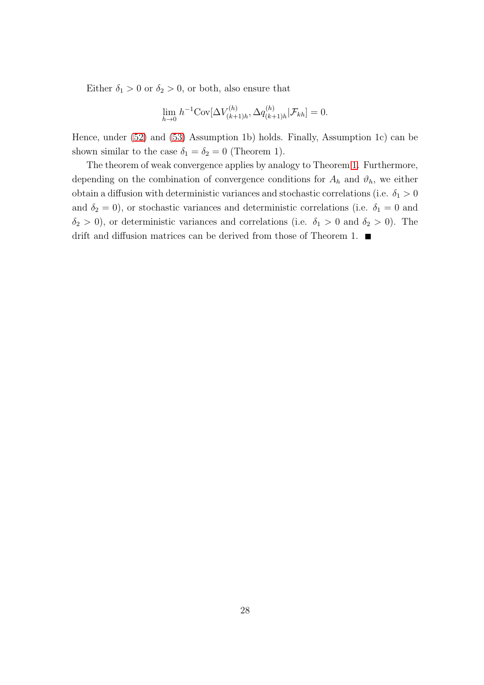Either  $\delta_1 > 0$  or  $\delta_2 > 0$ , or both, also ensure that

$$
\lim_{h \to 0} h^{-1} \text{Cov}[\Delta V_{(k+1)h}^{(h)}, \Delta q_{(k+1)h}^{(h)} | \mathcal{F}_{kh}] = 0.
$$

Hence, under [\(52\)](#page-26-0) and [\(53\)](#page-26-1) Assumption 1b) holds. Finally, Assumption 1c) can be shown similar to the case  $\delta_1 = \delta_2 = 0$  (Theorem 1).

The theorem of weak convergence applies by analogy to Theorem [1.](#page-6-4) Furthermore, depending on the combination of convergence conditions for  $A_h$  and  $\vartheta_h$ , we either obtain a diffusion with deterministic variances and stochastic correlations (i.e.  $\delta_1 > 0$ and  $\delta_2 = 0$ ), or stochastic variances and deterministic correlations (i.e.  $\delta_1 = 0$  and  $\delta_2 > 0$ ), or deterministic variances and correlations (i.e.  $\delta_1 > 0$  and  $\delta_2 > 0$ ). The drift and diffusion matrices can be derived from those of Theorem 1.  $\blacksquare$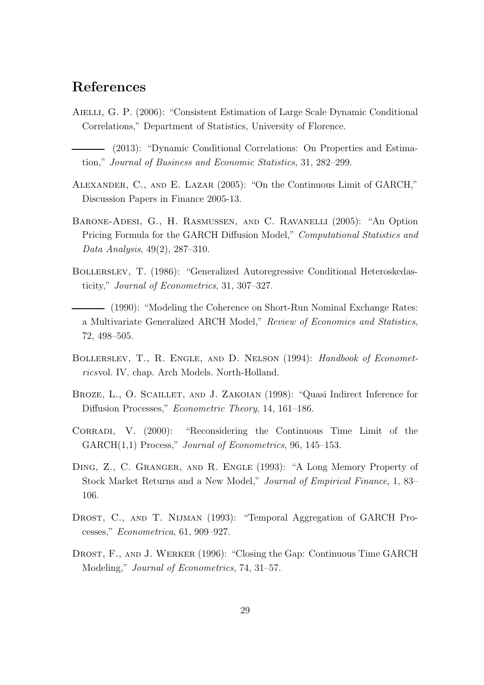## References

- AIELLI, G. P. (2006): "Consistent Estimation of Large Scale Dynamic Conditional Correlations," Department of Statistics, University of Florence.
- (2013): "Dynamic Conditional Correlations: On Properties and Estimation," Journal of Business and Economic Statistics, 31, 282–299.
- Alexander, C., and E. Lazar (2005): "On the Continuous Limit of GARCH," Discussion Papers in Finance 2005-13.
- Barone-Adesi, G., H. Rasmussen, and C. Ravanelli (2005): "An Option Pricing Formula for the GARCH Diffusion Model," Computational Statistics and Data Analysis, 49(2), 287–310.
- Bollerslev, T. (1986): "Generalized Autoregressive Conditional Heteroskedasticity," Journal of Econometrics, 31, 307–327.
- (1990): "Modeling the Coherence on Short-Run Nominal Exchange Rates: a Multivariate Generalized ARCH Model," Review of Economics and Statistics, 72, 498–505.
- Bollerslev, T., R. Engle, and D. Nelson (1994): Handbook of Econometricsvol. IV, chap. Arch Models. North-Holland.
- BROZE, L., O. SCAILLET, AND J. ZAKOIAN (1998): "Quasi Indirect Inference for Diffusion Processes," Econometric Theory, 14, 161–186.
- CORRADI, V. (2000): "Reconsidering the Continuous Time Limit of the GARCH(1,1) Process," Journal of Econometrics, 96, 145–153.
- Ding, Z., C. Granger, and R. Engle (1993): "A Long Memory Property of Stock Market Returns and a New Model," Journal of Empirical Finance, 1, 83– 106.
- DROST, C., AND T. NIJMAN (1993): "Temporal Aggregation of GARCH Processes," Econometrica, 61, 909–927.
- Drost, F., and J. Werker (1996): "Closing the Gap: Continuous Time GARCH Modeling," Journal of Econometrics, 74, 31–57.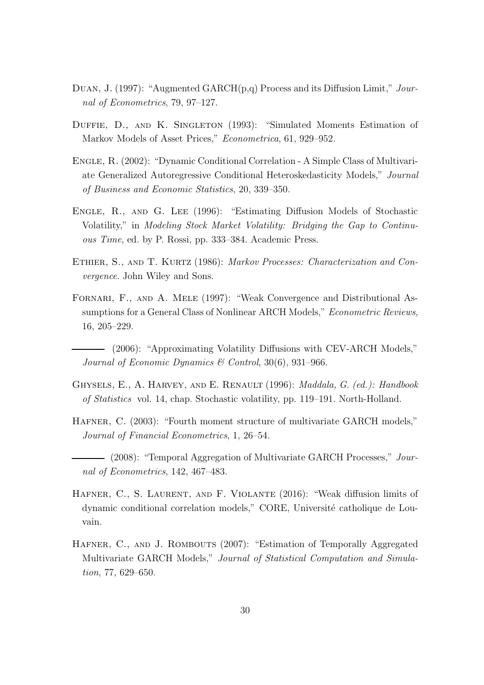- Duan, J. (1997): "Augmented GARCH(p,q) Process and its Diffusion Limit," Journal of Econometrics, 79, 97–127.
- DUFFIE, D., AND K. SINGLETON (1993): "Simulated Moments Estimation of Markov Models of Asset Prices," *Econometrica*, 61, 929–952.
- Engle, R. (2002): "Dynamic Conditional Correlation A Simple Class of Multivariate Generalized Autoregressive Conditional Heteroskedasticity Models," Journal of Business and Economic Statistics, 20, 339–350.
- Engle, R., and G. Lee (1996): "Estimating Diffusion Models of Stochastic Volatility," in Modeling Stock Market Volatility: Bridging the Gap to Continuous Time, ed. by P. Rossi, pp. 333–384. Academic Press.
- ETHIER, S., AND T. KURTZ (1986): Markov Processes: Characterization and Convergence. John Wiley and Sons.
- Fornari, F., and A. Mele (1997): "Weak Convergence and Distributional Assumptions for a General Class of Nonlinear ARCH Models," *Econometric Reviews*, 16, 205–229.
- (2006): "Approximating Volatility Diffusions with CEV-ARCH Models," Journal of Economic Dynamics & Control,  $30(6)$ ,  $931-966$ .
- GHYSELS, E., A. HARVEY, AND E. RENAULT (1996): *Maddala, G. (ed.): Handbook* of Statistics vol. 14, chap. Stochastic volatility, pp. 119–191. North-Holland.
- Hafner, C. (2003): "Fourth moment structure of multivariate GARCH models," Journal of Financial Econometrics, 1, 26–54.
- (2008): "Temporal Aggregation of Multivariate GARCH Processes," Journal of Econometrics, 142, 467–483.
- HAFNER, C., S. LAURENT, AND F. VIOLANTE (2016): "Weak diffusion limits of dynamic conditional correlation models," CORE, Université catholique de Louvain.
- HAFNER, C., AND J. ROMBOUTS (2007): "Estimation of Temporally Aggregated Multivariate GARCH Models," Journal of Statistical Computation and Simulation, 77, 629–650.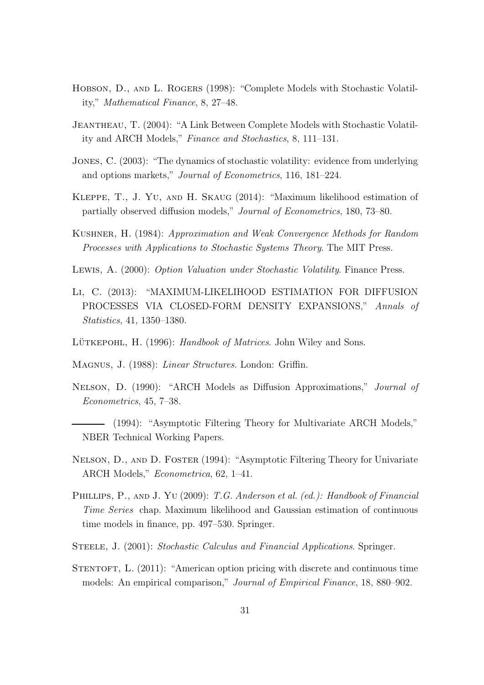- Hobson, D., and L. Rogers (1998): "Complete Models with Stochastic Volatility," Mathematical Finance, 8, 27–48.
- Jeantheau, T. (2004): "A Link Between Complete Models with Stochastic Volatility and ARCH Models," Finance and Stochastics, 8, 111–131.
- Jones, C. (2003): "The dynamics of stochastic volatility: evidence from underlying and options markets," Journal of Econometrics, 116, 181–224.
- Kleppe, T., J. Yu, and H. Skaug (2014): "Maximum likelihood estimation of partially observed diffusion models," Journal of Econometrics, 180, 73–80.
- Kushner, H. (1984): Approximation and Weak Convergence Methods for Random Processes with Applications to Stochastic Systems Theory. The MIT Press.
- LEWIS, A. (2000): *Option Valuation under Stochastic Volatility*. Finance Press.
- Li, C. (2013): "MAXIMUM-LIKELIHOOD ESTIMATION FOR DIFFUSION PROCESSES VIA CLOSED-FORM DENSITY EXPANSIONS," Annals of Statistics, 41, 1350–1380.
- LÜTKEPOHL, H. (1996): Handbook of Matrices. John Wiley and Sons.

Magnus, J. (1988): Linear Structures. London: Griffin.

- Nelson, D. (1990): "ARCH Models as Diffusion Approximations," Journal of Econometrics, 45, 7–38.
- (1994): "Asymptotic Filtering Theory for Multivariate ARCH Models," NBER Technical Working Papers.
- Nelson, D., and D. Foster (1994): "Asymptotic Filtering Theory for Univariate ARCH Models," Econometrica, 62, 1–41.
- PHILLIPS, P., AND J. YU (2009): T.G. Anderson et al. (ed.): Handbook of Financial Time Series chap. Maximum likelihood and Gaussian estimation of continuous time models in finance, pp. 497–530. Springer.
- STEELE, J. (2001): Stochastic Calculus and Financial Applications. Springer.
- STENTOFT, L. (2011): "American option pricing with discrete and continuous time models: An empirical comparison," Journal of Empirical Finance, 18, 880–902.